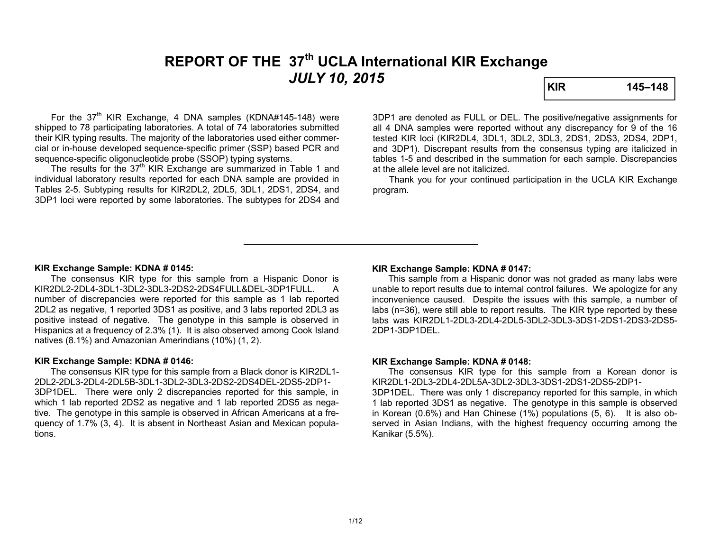# **REPORT OF THE 37th UCLA International KIR Exchange**  *JULY 10, 2015* **KIR 145–148**

For the  $37<sup>th</sup>$  KIR Exchange, 4 DNA samples (KDNA#145-148) were shipped to 78 participating laboratories. A total of 74 laboratories submitted their KIR typing results. The majority of the laboratories used either commercial or in-house developed sequence-specific primer (SSP) based PCR and sequence-specific oligonucleotide probe (SSOP) typing systems.

The results for the 37<sup>th</sup> KIR Exchange are summarized in Table 1 and individual laboratory results reported for each DNA sample are provided in Tables 2-5. Subtyping results for KIR2DL2, 2DL5, 3DL1, 2DS1, 2DS4, and 3DP1 loci were reported by some laboratories. The subtypes for 2DS4 and 3DP1 are denoted as FULL or DEL. The positive/negative assignments for all 4 DNA samples were reported without any discrepancy for 9 of the 16 tested KIR loci (KIR2DL4, 3DL1, 3DL2, 3DL3, 2DS1, 2DS3, 2DS4, 2DP1, and 3DP1). Discrepant results from the consensus typing are italicized in tables 1-5 and described in the summation for each sample. Discrepancies at the allele level are not italicized.

 Thank you for your continued participation in the UCLA KIR Exchange program.

#### **KIR Exchange Sample: KDNA # 0145:**

 The consensus KIR type for this sample from a Hispanic Donor is KIR2DL2-2DL4-3DL1-3DL2-3DL3-2DS2-2DS4FULL&DEL-3DP1FULL. A number of discrepancies were reported for this sample as 1 lab reported 2DL2 as negative, 1 reported 3DS1 as positive, and 3 labs reported 2DL3 as positive instead of negative. The genotype in this sample is observed in Hispanics at a frequency of 2.3% (1). It is also observed among Cook Island natives (8.1%) and Amazonian Amerindians (10%) (1, 2).

#### **KIR Exchange Sample: KDNA # 0146:**

 The consensus KIR type for this sample from a Black donor is KIR2DL1- 2DL2-2DL3-2DL4-2DL5B-3DL1-3DL2-3DL3-2DS2-2DS4DEL-2DS5-2DP1-3DP1DEL. There were only 2 discrepancies reported for this sample, in which 1 lab reported 2DS2 as negative and 1 lab reported 2DS5 as negative. The genotype in this sample is observed in African Americans at a frequency of 1.7% (3, 4). It is absent in Northeast Asian and Mexican populations.

#### **KIR Exchange Sample: KDNA # 0147:**

 This sample from a Hispanic donor was not graded as many labs were unable to report results due to internal control failures. We apologize for any inconvenience caused. Despite the issues with this sample, a number of labs (n=36), were still able to report results. The KIR type reported by these labs was KIR2DL1-2DL3-2DL4-2DL5-3DL2-3DL3-3DS1-2DS1-2DS3-2DS5-2DP1-3DP1DEL.

#### **KIR Exchange Sample: KDNA # 0148:**

The consensus KIR type for this sample from a Korean donor is KIR2DL1-2DL3-2DL4-2DL5A-3DL2-3DL3-3DS1-2DS1-2DS5-2DP1-

3DP1DEL. There was only 1 discrepancy reported for this sample, in which 1 lab reported 3DS1 as negative. The genotype in this sample is observed in Korean (0.6%) and Han Chinese (1%) populations (5, 6). It is also observed in Asian Indians, with the highest frequency occurring among the Kanikar (5.5%).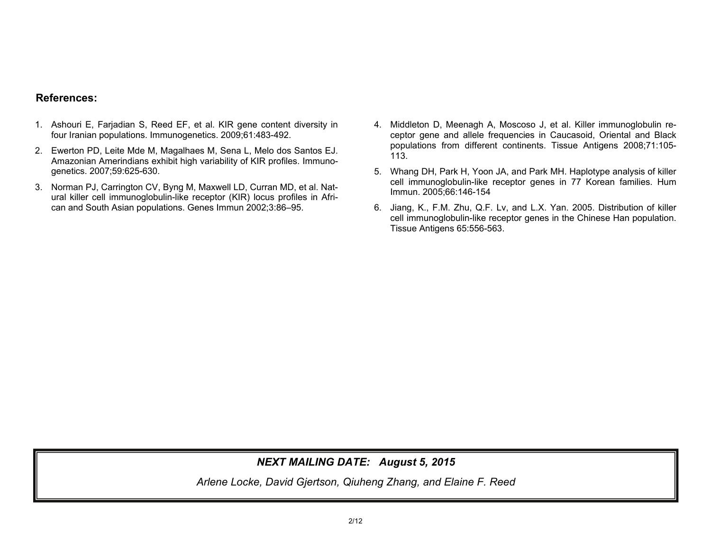## **References:**

- 1. Ashouri E, Farjadian S, Reed EF, et al. KIR gene content diversity in four Iranian populations. Immunogenetics. 2009;61:483-492.
- 2. Ewerton PD, Leite Mde M, Magalhaes M, Sena L, Melo dos Santos EJ. Amazonian Amerindians exhibit high variability of KIR profiles. Immunogenetics. 2007;59:625-630.
- 3. Norman PJ, Carrington CV, Byng M, Maxwell LD, Curran MD, et al. Natural killer cell immunoglobulin-like receptor (KIR) locus profiles in African and South Asian populations. Genes Immun 2002;3:86–95.
- 4. Middleton D, Meenagh A, Moscoso J, et al. Killer immunoglobulin receptor gene and allele frequencies in Caucasoid, Oriental and Black populations from different continents. Tissue Antigens 2008;71:105- 113.
- 5. Whang DH, Park H, Yoon JA, and Park MH. Haplotype analysis of killer cell immunoglobulin-like receptor genes in 77 Korean families. Hum Immun. 2005;66:146-154
- 6. Jiang, K., F.M. Zhu, Q.F. Lv, and L.X. Yan. 2005. Distribution of killer cell immunoglobulin-like receptor genes in the Chinese Han population. Tissue Antigens 65:556-563.

## *NEXT MAILING DATE: August 5, 2015*

*Arlene Locke, David Gjertson, Qiuheng Zhang, and Elaine F. Reed*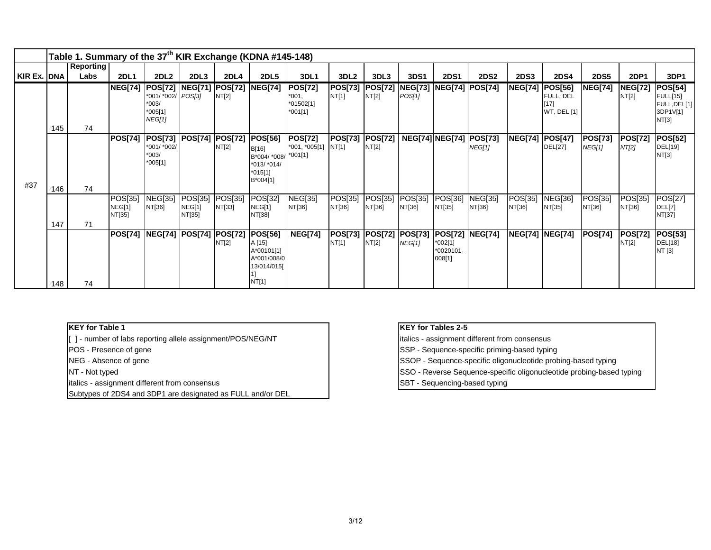|             |     | Table 1. Summary of the 37 <sup>th</sup> KIR Exchange (KDNA #145-148) |                             |                                                                        |                             |                                 |                                                                                          |                                                     |                         |                         |                   |                                                                    |                          |                        |                                                             |                                 |                         |                                                                        |
|-------------|-----|-----------------------------------------------------------------------|-----------------------------|------------------------------------------------------------------------|-----------------------------|---------------------------------|------------------------------------------------------------------------------------------|-----------------------------------------------------|-------------------------|-------------------------|-------------------|--------------------------------------------------------------------|--------------------------|------------------------|-------------------------------------------------------------|---------------------------------|-------------------------|------------------------------------------------------------------------|
|             |     | <b>Reporting</b>                                                      |                             |                                                                        |                             |                                 |                                                                                          |                                                     |                         |                         |                   |                                                                    |                          |                        |                                                             |                                 |                         |                                                                        |
| KIR Ex. DNA |     | Labs                                                                  | <b>2DL1</b>                 | 2DL <sub>2</sub>                                                       | 2DL3                        | 2DL4                            | <b>2DL5</b>                                                                              | 3DL1                                                | 3DL <sub>2</sub>        | 3DL3                    | 3DS1              | <b>2DS1</b>                                                        | <b>2DS2</b>              | <b>2DS3</b>            | <b>2DS4</b>                                                 | <b>2DS5</b>                     | 2DP1                    | 3DP1                                                                   |
|             | 145 | 74                                                                    | <b>NEG[74]</b>              | <b>POS[72]</b><br>*001/ *002/ POS[3]<br>$*003/$<br>$*005[1]$<br>NEG[1] |                             | <b>NEG[71] POS[72]</b><br>NT[2] | <b>NEG[74]</b>                                                                           | <b>POS[72]</b><br>$*001,$<br>*01502[1]<br>$*001[1]$ | <b>POS[73]</b><br>NT[1] | <b>POS[72]</b><br>NT[2] | POS[1]            | <b>NEG[73]  NEG[74]  POS[74]</b>                                   |                          | <b>NEG[74]</b>         | <b>POS[56]</b><br>FULL, DEL<br>$[17]$<br><b>WT, DEL [1]</b> | <b>NEG[74]</b>                  | <b>NEG[72]</b><br>NT[2] | <b>POS[54]</b><br><b>FULL[15]</b><br>FULL, DEL[1]<br>3DP1V[1]<br>NT[3] |
| #37         | 146 | 74                                                                    | <b>POS[74]</b>              | POS[73]<br>*001/ *002/<br>$*003/$<br>$*005[1]$                         | POS[74]  POS[72]            | NT[2]                           | <b>POS[56]</b><br>B[16]<br>B*004/ *008/ *001[1]<br>$*013/*014/$<br>$*015[1]$<br>B*004[1] | <b>POS[72]</b><br>*001, *005[1] NT[1]               | <b>POS[73]</b>          | <b>POS[72]</b><br>NT[2] |                   | <b>NEG[74] NEG[74] POS[73]</b>                                     | <b>NEG[1]</b>            | <b>NEG[74] POS[47]</b> | <b>DEL[27]</b>                                              | <b>POS[73]</b><br><b>NEG[1]</b> | <b>POS[72]</b><br>NT[2] | <b>POS[52]</b><br>DEL[19]<br>NT[3]                                     |
|             | 147 | 71                                                                    | POS[35]<br>NEG[1]<br>NT[35] | <b>NEG[35]</b><br>NT[36]                                               | POS[35]<br>NEG[1]<br>NT[35] | POS[35]<br>NT[33]               | POS[32]<br>NEG[1]<br>NT[38]                                                              | <b>NEG[35]</b><br>NT[36]                            | POS[35]<br>NT[36]       | POS[35]<br>NT[36]       | POS[35]<br>NT[36] | POS[36]<br>NT[35]                                                  | <b>NEG[35]</b><br>NT[36] | POS[35]<br>NT[36]      | <b>NEG[36]</b><br>NT[35]                                    | POS[35]<br>NT[36]               | POS[35]<br>NT[36]       | POS[27]<br>DEL[7]<br>NT[37]                                            |
|             | 148 | 74                                                                    | <b>POS[74]</b>              | <b>NEG[74]</b>                                                         | <b>POS[74] POS[72]</b>      | NT[2]                           | POS[56]<br>A [15]<br>A*00101[1]<br>A*001/008/0<br>13/014/015[<br>NT[1]                   | <b>NEG[74]</b>                                      | <b>POS[73]</b><br>NT[1] | <b>POS[72]</b><br>NT[2] | <b>NEG[1]</b>     | <b>POS[73] POS[72] NEG[74]</b><br>$*002[1]$<br>*0020101-<br>008[1] |                          |                        | <b>NEG[74]  NEG[74]</b>                                     | <b>POS[74]</b>                  | <b>POS[72]</b><br>NT[2] | <b>POS[53]</b><br>DEL[18]<br>NT [3]                                    |

### **KEY for Table 1**

[ ] - number of labs reporting allele assignment/POS/NEG/NT

POS - Presence of gene

NEG - Absence of gene

NT - Not typed

italics - assignment different from consensus

Subtypes of 2DS4 and 3DP1 are designated as FULL and/or DEL

#### **KEY for Tables 2-5**

italics - assignment different from consensus

SSP - Sequence-specific priming-based typing

SSOP - Sequence-specific oligonucleotide probing-based typing

SSO - Reverse Sequence-specific oligonucleotide probing-based typing

SBT - Sequencing-based typing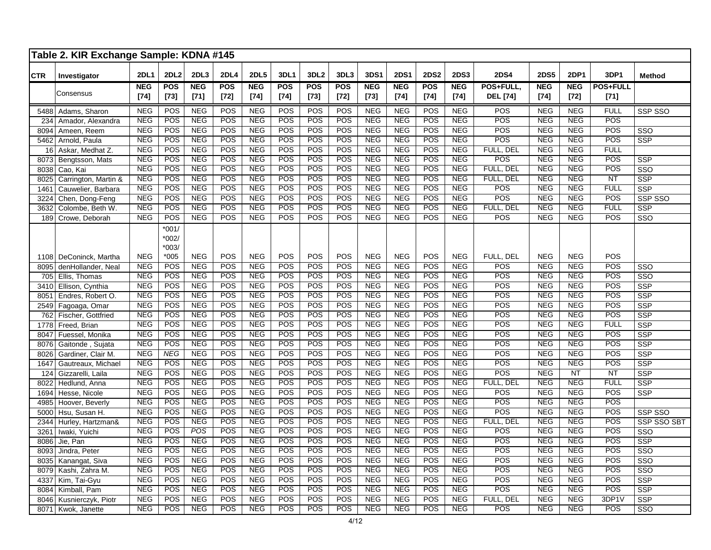|            | Table 2. KIR Exchange Sample: KDNA #145 |             |                               |            |                  |             |            |                  |                  |             |             |                  |             |                  |             |            |                 |                         |
|------------|-----------------------------------------|-------------|-------------------------------|------------|------------------|-------------|------------|------------------|------------------|-------------|-------------|------------------|-------------|------------------|-------------|------------|-----------------|-------------------------|
| <b>CTR</b> | Investigator                            | <b>2DL1</b> | <b>2DL2</b>                   | 2DL3       | <b>2DL4</b>      | <b>2DL5</b> | 3DL1       | 3DL <sub>2</sub> | 3DL3             | <b>3DS1</b> | <b>2DS1</b> | <b>2DS2</b>      | <b>2DS3</b> | <b>2DS4</b>      | <b>2DS5</b> | 2DP1       | 3DP1            | Method                  |
|            | Consensus                               | <b>NEG</b>  | POS                           | <b>NEG</b> | <b>POS</b>       | <b>NEG</b>  | <b>POS</b> | POS              | <b>POS</b>       | <b>NEG</b>  | <b>NEG</b>  | POS              | <b>NEG</b>  | POS+FULL,        | <b>NEG</b>  | <b>NEG</b> | <b>POS+FULL</b> |                         |
|            |                                         | $[74]$      | $[73]$                        | $[71]$     | $[72]$           | $[74]$      | $[74]$     | $[73]$           | $[72]$           | $[73]$      | $[74]$      | $[74]$           | $[74]$      | <b>DEL</b> [74]  | $[74]$      | $[72]$     | $[71]$          |                         |
|            | 5488 Adams, Sharon                      | <b>NEG</b>  | POS                           | <b>NEG</b> | POS              | <b>NEG</b>  | POS        | POS              | POS              | <b>NEG</b>  | <b>NEG</b>  | POS              | <b>NEG</b>  | POS              | <b>NEG</b>  | <b>NEG</b> | <b>FULL</b>     | SSP SSO                 |
| 234        | Amador, Alexandra                       | <b>NEG</b>  | <b>POS</b>                    | NEG        | $\overline{POS}$ | <b>NEG</b>  | <b>POS</b> | $\overline{POS}$ | $\overline{POS}$ | <b>NEG</b>  | <b>NEG</b>  | POS              | NEG         | POS              | <b>NEG</b>  | NEG        | <b>POS</b>      |                         |
| 8094       | Ameen, Reem                             | <b>NEG</b>  | POS                           | <b>NEG</b> | POS              | <b>NEG</b>  | <b>POS</b> | POS              | POS              | <b>NEG</b>  | <b>NEG</b>  | $\overline{POS}$ | <b>NEG</b>  | POS              | <b>NEG</b>  | <b>NEG</b> | <b>POS</b>      | SSO                     |
| 5462       | Arnold, Paula                           | <b>NEG</b>  | POS                           | <b>NEG</b> | POS              | <b>NEG</b>  | POS        | POS              | POS              | <b>NEG</b>  | <b>NEG</b>  | POS              | NEG         | POS              | <b>NEG</b>  | NEG        | POS             | <b>SSP</b>              |
| 16         | Askar, Medhat Z.                        | <b>NEG</b>  | POS                           | <b>NEG</b> | POS              | <b>NEG</b>  | POS        | POS              | POS              | <b>NEG</b>  | <b>NEG</b>  | <b>POS</b>       | <b>NEG</b>  | FULL, DEL        | <b>NEG</b>  | <b>NEG</b> | <b>FULL</b>     |                         |
|            | 8073 Bengtsson, Mats                    | <b>NEG</b>  | POS                           | <b>NEG</b> | POS              | <b>NEG</b>  | POS        | POS              | POS              | NEG         | NEG         | POS              | NEG         | POS              | <b>NEG</b>  | <b>NEG</b> | <b>POS</b>      | <b>SSP</b>              |
| 8038       | Cao, Kai                                | <b>NEG</b>  | POS                           | NEG        | POS              | NEG         | POS        | POS              | POS              | NEG         | NEG         | <b>POS</b>       | NEG         | FULL. DEL        | NEG         | NEG        | <b>POS</b>      | SSO                     |
| 8025       | Carrington, Martin &                    | <b>NEG</b>  | POS                           | <b>NEG</b> | POS              | <b>NEG</b>  | <b>POS</b> | <b>POS</b>       | POS              | <b>NEG</b>  | NEG         | <b>POS</b>       | <b>NEG</b>  | FULL, DEL        | <b>NEG</b>  | <b>NEG</b> | NT              | $\overline{\text{SSP}}$ |
| 1461       | Cauwelier, Barbara                      | <b>NEG</b>  | POS                           | <b>NEG</b> | POS              | <b>NEG</b>  | POS        | POS              | POS              | <b>NEG</b>  | <b>NEG</b>  | POS              | <b>NEG</b>  | POS              | <b>NEG</b>  | <b>NEG</b> | <b>FULL</b>     | <b>SSP</b>              |
| 3224       | Chen, Dong-Feng                         | <b>NEG</b>  | POS                           | <b>NEG</b> | POS              | <b>NEG</b>  | <b>POS</b> | <b>POS</b>       | POS              | <b>NEG</b>  | <b>NEG</b>  | <b>POS</b>       | <b>NEG</b>  | POS              | <b>NEG</b>  | <b>NEG</b> | <b>POS</b>      | SSP SSO                 |
| 3632       | Colombe, Beth W.                        | <b>NEG</b>  | <b>POS</b>                    | <b>NEG</b> | POS              | <b>NEG</b>  | <b>POS</b> | POS              | <b>POS</b>       | <b>NEG</b>  | <b>NEG</b>  | <b>POS</b>       | <b>NEG</b>  | FULL, DEL        | <b>NEG</b>  | <b>NEG</b> | <b>FULL</b>     | <b>SSP</b>              |
| 189        | Crowe, Deborah                          | <b>NEG</b>  | POS                           | <b>NEG</b> | POS              | <b>NEG</b>  | POS        | <b>POS</b>       | <b>POS</b>       | <b>NEG</b>  | NEG         | <b>POS</b>       | <b>NEG</b>  | POS              | <b>NEG</b>  | <b>NEG</b> | <b>POS</b>      | SSO                     |
|            |                                         |             | $*001/$<br>$*002/$<br>$*003/$ |            |                  |             |            |                  |                  |             |             |                  |             |                  |             |            |                 |                         |
|            | 1108 DeConinck, Martha                  | <b>NEG</b>  | $*005$                        | <b>NEG</b> | POS              | <b>NEG</b>  | POS        | POS              | POS              | <b>NEG</b>  | <b>NEG</b>  | POS              | <b>NEG</b>  | FULL, DEL        | <b>NEG</b>  | <b>NEG</b> | POS             |                         |
| 8095       | denHollander, Neal                      | <b>NEG</b>  | POS                           | NEG        | POS              | NEG         | POS        | POS              | $\overline{POS}$ | NEG         | NEG         | <b>POS</b>       | NEG         | $\overline{POS}$ | NEG         | <b>NEG</b> | <b>POS</b>      | SSO                     |
| 705        | Ellis, Thomas                           | <b>NEG</b>  | POS                           | <b>NEG</b> | <b>POS</b>       | <b>NEG</b>  | POS        | POS              | POS              | <b>NEG</b>  | <b>NEG</b>  | <b>POS</b>       | <b>NEG</b>  | POS              | <b>NEG</b>  | <b>NEG</b> | <b>POS</b>      | SSO                     |
| 3410       | Ellison, Cynthia                        | <b>NEG</b>  | POS                           | <b>NEG</b> | POS              | <b>NEG</b>  | POS        | <b>POS</b>       | POS              | <b>NEG</b>  | <b>NEG</b>  | <b>POS</b>       | <b>NEG</b>  | POS              | <b>NEG</b>  | <b>NEG</b> | <b>POS</b>      | SSP                     |
| 8051       | Endres, Robert O.                       | <b>NEG</b>  | <b>POS</b>                    | <b>NEG</b> | POS              | <b>NEG</b>  | <b>POS</b> | POS              | <b>POS</b>       | <b>NEG</b>  | <b>NEG</b>  | <b>POS</b>       | <b>NEG</b>  | POS              | <b>NEG</b>  | <b>NEG</b> | <b>POS</b>      | SSP                     |
| 2549       | Fagoaga, Omar                           | <b>NEG</b>  | POS                           | <b>NEG</b> | POS              | <b>NEG</b>  | <b>POS</b> | POS              | <b>POS</b>       | <b>NEG</b>  | <b>NEG</b>  | <b>POS</b>       | <b>NEG</b>  | POS              | <b>NEG</b>  | <b>NEG</b> | <b>POS</b>      | <b>SSP</b>              |
| 762        | Fischer, Gottfried                      | <b>NEG</b>  | POS                           | <b>NEG</b> | $\overline{POS}$ | <b>NEG</b>  | <b>POS</b> | POS              | $\overline{POS}$ | <b>NEG</b>  | <b>NEG</b>  | <b>POS</b>       | <b>NEG</b>  | $\overline{POS}$ | <b>NEG</b>  | <b>NEG</b> | <b>POS</b>      | $\overline{\text{SSP}}$ |
| 1778       | Freed. Brian                            | <b>NEG</b>  | POS                           | <b>NEG</b> | POS              | <b>NEG</b>  | <b>POS</b> | POS              | $\overline{POS}$ | <b>NEG</b>  | <b>NEG</b>  | POS              | <b>NEG</b>  | POS              | <b>NEG</b>  | NEG        | <b>FULL</b>     | <b>SSP</b>              |
| 8047       | Fuessel, Monika                         | <b>NEG</b>  | POS                           | <b>NEG</b> | POS              | <b>NEG</b>  | POS        | POS              | POS              | <b>NEG</b>  | <b>NEG</b>  | POS              | <b>NEG</b>  | POS              | <b>NEG</b>  | <b>NEG</b> | <b>POS</b>      | <b>SSP</b>              |
| 8076       | Gaitonde, Sujata                        | <b>NEG</b>  | POS                           | <b>NEG</b> | POS              | <b>NEG</b>  | POS        | POS              | POS              | <b>NEG</b>  | <b>NEG</b>  | <b>POS</b>       | <b>NEG</b>  | POS              | <b>NEG</b>  | <b>NEG</b> | <b>POS</b>      | SSP                     |
| 8026       | Gardiner, Clair M.                      | <b>NEG</b>  | <b>NEG</b>                    | <b>NEG</b> | POS              | <b>NEG</b>  | POS        | POS              | POS              | <b>NEG</b>  | <b>NEG</b>  | <b>POS</b>       | <b>NEG</b>  | POS              | NEG         | <b>NEG</b> | <b>POS</b>      | SSP                     |
| 1647       | Gautreaux, Michael                      | <b>NEG</b>  | POS                           | <b>NEG</b> | POS              | <b>NEG</b>  | POS        | POS              | $\overline{POS}$ | NEG         | <b>NEG</b>  | POS              | <b>NEG</b>  | $\overline{POS}$ | NEG         | NEG        | POS             | $\overline{\text{SSP}}$ |
| 124        | Gizzarelli, Laila                       | <b>NEG</b>  | POS                           | <b>NEG</b> | POS              | <b>NEG</b>  | POS        | POS              | POS              | <b>NEG</b>  | <b>NEG</b>  | POS              | <b>NEG</b>  | $\overline{POS}$ | <b>NEG</b>  | NT         | NT              | <b>SSP</b>              |
| 8022       | Hedlund, Anna                           | <b>NEG</b>  | POS                           | <b>NEG</b> | POS              | <b>NEG</b>  | POS        | POS              | POS              | <b>NEG</b>  | <b>NEG</b>  | <b>POS</b>       | <b>NEG</b>  | FULL, DEL        | <b>NEG</b>  | <b>NEG</b> | <b>FULL</b>     | <b>SSP</b>              |
| 1694       | Hesse, Nicole                           | <b>NEG</b>  | POS                           | <b>NEG</b> | POS              | <b>NEG</b>  | POS        | <b>POS</b>       | POS              | <b>NEG</b>  | <b>NEG</b>  | <b>POS</b>       | <b>NEG</b>  | POS              | <b>NEG</b>  | <b>NEG</b> | POS             | <b>SSP</b>              |
| 4985       | Hoover, Beverly                         | <b>NEG</b>  | POS                           | <b>NEG</b> | POS              | <b>NEG</b>  | POS        | POS              | POS              | <b>NEG</b>  | <b>NEG</b>  | <b>POS</b>       | <b>NEG</b>  | POS              | <b>NEG</b>  | <b>NEG</b> | <b>POS</b>      |                         |
| 5000       | Hsu, Susan H.                           | <b>NEG</b>  | <b>POS</b>                    | <b>NEG</b> | POS              | <b>NEG</b>  | <b>POS</b> | POS              | <b>POS</b>       | <b>NEG</b>  | <b>NEG</b>  | <b>POS</b>       | <b>NEG</b>  | POS              | <b>NEG</b>  | <b>NEG</b> | <b>POS</b>      | SSP SSO                 |
| 2344       | Hurley, Hartzman&                       | <b>NEG</b>  | <b>POS</b>                    | <b>NEG</b> | POS              | <b>NEG</b>  | <b>POS</b> | POS              | POS              | <b>NEG</b>  | <b>NEG</b>  | POS              | <b>NEG</b>  | FULL, DEL        | <b>NEG</b>  | NEG        | <b>POS</b>      | <b>SSP SSO SBT</b>      |
| 3261       | Iwaki, Yuichi                           | <b>NEG</b>  | POS                           | POS        | POS              | <b>NEG</b>  | POS        | POS              | POS              | <b>NEG</b>  | <b>NEG</b>  | $\overline{POS}$ | <b>NEG</b>  | POS              | <b>NEG</b>  | <b>NEG</b> | POS             | SSO                     |
| 8086       | Jie, Pan                                | <b>NEG</b>  | POS                           | <b>NEG</b> | POS              | <b>NEG</b>  | <b>POS</b> | POS              | <b>POS</b>       | <b>NEG</b>  | <b>NEG</b>  | POS              | <b>NEG</b>  | POS              | <b>NEG</b>  | <b>NEG</b> | <b>POS</b>      | SSP                     |
| 8093       | Jindra, Peter                           | <b>NEG</b>  | POS                           | <b>NEG</b> | POS              | <b>NEG</b>  | POS        | POS              | <b>POS</b>       | <b>NEG</b>  | <b>NEG</b>  | <b>POS</b>       | <b>NEG</b>  | POS              | <b>NEG</b>  | <b>NEG</b> | <b>POS</b>      | $\overline{\text{SSO}}$ |
|            | 8035 Kanangat, Siva                     | <b>NEG</b>  | <b>POS</b>                    | <b>NEG</b> | POS              | <b>NEG</b>  | <b>POS</b> | POS              | <b>POS</b>       | <b>NEG</b>  | <b>NEG</b>  | POS              | <b>NEG</b>  | $\overline{POS}$ | <b>NEG</b>  | NEG        | <b>POS</b>      | $\overline{\text{SSO}}$ |
| 8079       | Kashi, Zahra M.                         | <b>NEG</b>  | <b>POS</b>                    | <b>NEG</b> | POS              | <b>NEG</b>  | <b>POS</b> | POS              | POS              | <b>NEG</b>  | <b>NEG</b>  | <b>POS</b>       | <b>NEG</b>  | POS              | <b>NEG</b>  | <b>NEG</b> | <b>POS</b>      | $\overline{\text{SSO}}$ |
| 4337       | Kim, Tai-Gyu                            | <b>NEG</b>  | <b>POS</b>                    | <b>NEG</b> | POS              | <b>NEG</b>  | POS        | <b>POS</b>       | POS              | <b>NEG</b>  | <b>NEG</b>  | POS              | <b>NEG</b>  | POS              | <b>NEG</b>  | <b>NEG</b> | POS             | <b>SSP</b>              |
| 8084       | Kimball, Pam                            | <b>NEG</b>  | POS                           | <b>NEG</b> | POS              | <b>NEG</b>  | POS        | POS              | POS              | <b>NEG</b>  | <b>NEG</b>  | <b>POS</b>       | <b>NEG</b>  | POS              | <b>NEG</b>  | <b>NEG</b> | <b>POS</b>      | <b>SSP</b>              |
| 8046       | Kusnierczyk, Piotr                      | <b>NEG</b>  | POS                           | <b>NEG</b> | POS              | <b>NEG</b>  | POS        | POS              | POS              | <b>NEG</b>  | <b>NEG</b>  | POS              | <b>NEG</b>  | FULL, DEL        | <b>NEG</b>  | <b>NEG</b> | 3DP1V           | SSP                     |
|            | 8071 Kwok, Janette                      | <b>NEG</b>  | POS                           | NEG        | POS              | NEG         | <b>POS</b> | POS              | POS              | <b>NEG</b>  | <b>NEG</b>  | <b>POS</b>       | <b>NEG</b>  | POS              | <b>NEG</b>  | <b>NEG</b> | <b>POS</b>      | SSO                     |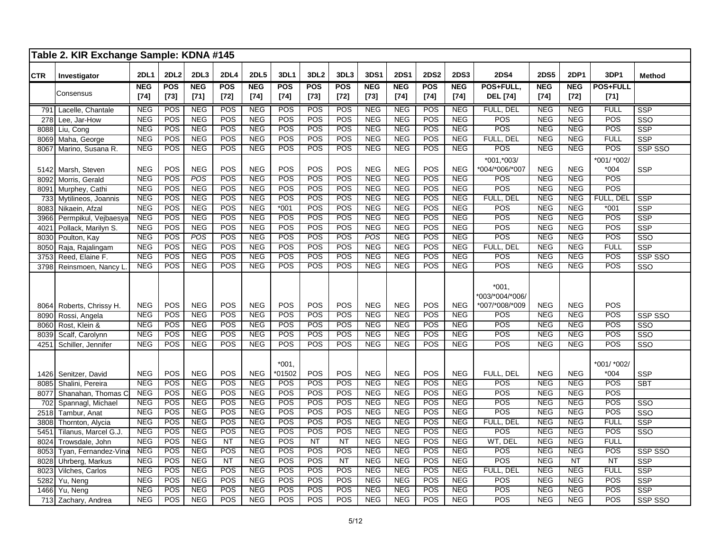|            | Table 2. KIR Exchange Sample: KDNA #145 |             |            |                  |                  |             |                     |                  |                  |            |             |                  |             |                                              |             |             |                       |                         |
|------------|-----------------------------------------|-------------|------------|------------------|------------------|-------------|---------------------|------------------|------------------|------------|-------------|------------------|-------------|----------------------------------------------|-------------|-------------|-----------------------|-------------------------|
| <b>CTR</b> | Investigator                            | <b>2DL1</b> | 2DL2       | 2DL <sub>3</sub> | <b>2DL4</b>      | <b>2DL5</b> | 3DL1                | 3DL <sub>2</sub> | 3DL3             | 3DS1       | <b>2DS1</b> | <b>2DS2</b>      | <b>2DS3</b> | <b>2DS4</b>                                  | <b>2DS5</b> | <b>2DP1</b> | 3DP1                  | <b>Method</b>           |
|            | Consensus                               | <b>NEG</b>  | <b>POS</b> | <b>NEG</b>       | <b>POS</b>       | <b>NEG</b>  | POS                 | POS              | <b>POS</b>       | <b>NEG</b> | <b>NEG</b>  | POS              | <b>NEG</b>  | POS+FULL,                                    | <b>NEG</b>  | <b>NEG</b>  | <b>POS+FULL</b>       |                         |
|            |                                         | $[74]$      | $[73]$     | $[71]$           | $[72]$           | $[74]$      | $[74]$              | $[73]$           | $[72]$           | $[73]$     | $[74]$      | $[74]$           | $[74]$      | <b>DEL</b> [74]                              | $[74]$      | $[72]$      | $[71]$                |                         |
| 791        | Lacelle, Chantale                       | <b>NEG</b>  | POS        | <b>NEG</b>       | POS              | <b>NEG</b>  | POS                 | POS              | POS              | <b>NEG</b> | <b>NEG</b>  | POS              | <b>NEG</b>  | FULL, DEL                                    | <b>NEG</b>  | <b>NEG</b>  | <b>FULL</b>           | <b>SSP</b>              |
| 278        | Lee, Jar-How                            | <b>NEG</b>  | POS        | <b>NEG</b>       | POS              | <b>NEG</b>  | POS                 | POS              | POS              | <b>NEG</b> | <b>NEG</b>  | POS              | <b>NEG</b>  | POS                                          | <b>NEG</b>  | <b>NEG</b>  | POS                   | $\overline{\text{SSO}}$ |
| 8088       | Liu, Cong                               | <b>NEG</b>  | POS        | <b>NEG</b>       | POS              | <b>NEG</b>  | POS                 | POS              | POS              | <b>NEG</b> | <b>NEG</b>  | POS              | <b>NEG</b>  | POS                                          | <b>NEG</b>  | <b>NEG</b>  | POS                   | <b>SSP</b>              |
| 8069       | Maha, George                            | <b>NEG</b>  | POS        | <b>NEG</b>       | POS              | <b>NEG</b>  | POS                 | POS              | POS              | NEG        | <b>NEG</b>  | $\overline{POS}$ | <b>NEG</b>  | FULL, DEL                                    | NEG         | <b>NEG</b>  | <b>FULL</b>           | <b>SSP</b>              |
| 8067       | Marino, Susana R.                       | <b>NEG</b>  | POS        | NEG              | POS              | <b>NEG</b>  | POS                 | POS              | POS              | <b>NEG</b> | <b>NEG</b>  | POS              | <b>NEG</b>  | $\overline{POS}$                             | <b>NEG</b>  | <b>NEG</b>  | POS                   | SSP SSO                 |
|            |                                         |             |            |                  |                  |             |                     |                  |                  |            |             |                  |             | *001,*003/                                   |             |             | *001/ *002/           |                         |
| 5142       | Marsh, Steven                           | <b>NEG</b>  | POS        | <b>NEG</b>       | POS              | <b>NEG</b>  | POS                 | POS              | POS              | <b>NEG</b> | <b>NEG</b>  | POS              | <b>NEG</b>  | *004/*006/*007                               | <b>NEG</b>  | <b>NEG</b>  | $*004$                | <b>SSP</b>              |
| 8092       | Morris, Gerald                          | <b>NEG</b>  | POS        | POS              | POS              | <b>NEG</b>  | POS                 | POS              | POS              | <b>NEG</b> | <b>NEG</b>  | $\overline{POS}$ | <b>NEG</b>  | <b>POS</b>                                   | <b>NEG</b>  | <b>NEG</b>  | POS                   |                         |
| 8091       | Murphey, Cathi                          | <b>NEG</b>  | POS        | <b>NEG</b>       | POS              | <b>NEG</b>  | <b>POS</b>          | POS              | POS              | <b>NEG</b> | <b>NEG</b>  | POS              | <b>NEG</b>  | POS                                          | <b>NEG</b>  | <b>NEG</b>  | POS                   |                         |
| 733        | Mytilineos, Joannis                     | <b>NEG</b>  | POS        | <b>NEG</b>       | POS              | <b>NEG</b>  | POS                 | POS              | POS              | NEG        | <b>NEG</b>  | POS              | <b>NEG</b>  | FULL, DEL                                    | <b>NEG</b>  | <b>NEG</b>  | FULL, DEL             | <b>SSP</b>              |
| 8083       | Nikaein, Afzal                          | <b>NEG</b>  | POS        | <b>NEG</b>       | POS              | <b>NEG</b>  | $*001$              | <b>POS</b>       | POS              | <b>NEG</b> | <b>NEG</b>  | $\overline{POS}$ | <b>NEG</b>  | $\overline{POS}$                             | <b>NEG</b>  | <b>NEG</b>  | $*001$                | $\overline{\text{SSP}}$ |
| 3966       | Permpikul, Vejbaesya                    | <b>NEG</b>  | POS        | NEG              | POS              | <b>NEG</b>  | POS                 | POS              | POS              | NEG        | <b>NEG</b>  | POS              | <b>NEG</b>  | POS                                          | <b>NEG</b>  | <b>NEG</b>  | POS                   | SSP                     |
| 4021       | Pollack, Marilyn S.                     | <b>NEG</b>  | POS        | <b>NEG</b>       | POS              | <b>NEG</b>  | POS                 | POS              | POS              | <b>NEG</b> | <b>NEG</b>  | POS              | <b>NEG</b>  | POS                                          | <b>NEG</b>  | <b>NEG</b>  | POS                   | <b>SSP</b>              |
| 8030       | Poulton, Kay                            | <b>NEG</b>  | POS        | POS              | POS              | <b>NEG</b>  | POS                 | POS              | POS              | POS        | <b>NEG</b>  | $\overline{POS}$ | NEG         | POS                                          | <b>NEG</b>  | <b>NEG</b>  | <b>POS</b>            | SSO                     |
| 8050       | Raja, Rajalingam                        | <b>NEG</b>  | POS        | NEG              | POS              | NEG         | POS                 | POS              | POS              | NEG        | <b>NEG</b>  | POS              | <b>NEG</b>  | FULL, DEL                                    | NEG         | NEG         | <b>FULL</b>           | $\overline{\text{SSP}}$ |
| 3753       | Reed, Elaine F.                         | <b>NEG</b>  | POS        | <b>NEG</b>       | POS              | <b>NEG</b>  | POS                 | POS              | POS              | <b>NEG</b> | <b>NEG</b>  | POS              | <b>NEG</b>  | POS                                          | <b>NEG</b>  | <b>NEG</b>  | POS                   | SSP SSO                 |
| 3798       | Reinsmoen, Nancy L                      | <b>NEG</b>  | POS        | <b>NEG</b>       | POS              | <b>NEG</b>  | POS                 | POS              | POS              | <b>NEG</b> | <b>NEG</b>  | <b>POS</b>       | <b>NEG</b>  | POS                                          | <b>NEG</b>  | <b>NEG</b>  | <b>POS</b>            | $\overline{\text{SSO}}$ |
|            | 8064 Roberts, Chrissy H.                | <b>NEG</b>  | POS        | <b>NEG</b>       | POS              | <b>NEG</b>  | POS                 | POS              | POS              | <b>NEG</b> | <b>NEG</b>  | POS              | <b>NEG</b>  | $*001,$<br>*003/*004/*006/<br>*007/*008/*009 | <b>NEG</b>  | <b>NEG</b>  | POS                   |                         |
| 8090       | Rossi, Angela                           | <b>NEG</b>  | POS        | <b>NEG</b>       | POS              | <b>NEG</b>  | POS                 | POS              | POS              | <b>NEG</b> | <b>NEG</b>  | POS              | <b>NEG</b>  | <b>POS</b>                                   | <b>NEG</b>  | <b>NEG</b>  | POS                   | SSP SSO                 |
| 8060       | Rost, Klein &                           | NEG         | POS        | NEG              | <b>POS</b>       | <b>NEG</b>  | <b>POS</b>          | POS              | POS              | <b>NEG</b> | <b>NEG</b>  | POS              | <b>NEG</b>  | POS                                          | NEG         | <b>NEG</b>  | POS                   | SSO                     |
| 8039       | Scalf, Carolynn                         | <b>NEG</b>  | POS        | <b>NEG</b>       | POS              | <b>NEG</b>  | POS                 | POS              | POS              | <b>NEG</b> | <b>NEG</b>  | POS              | <b>NEG</b>  | POS                                          | <b>NEG</b>  | <b>NEG</b>  | POS                   | SSO                     |
| 4251       | Schiller, Jennifer                      | <b>NEG</b>  | POS        | <b>NEG</b>       | POS              | <b>NEG</b>  | POS                 | POS              | POS              | <b>NEG</b> | <b>NEG</b>  | POS              | <b>NEG</b>  | POS                                          | <b>NEG</b>  | <b>NEG</b>  | POS                   | $\overline{\text{SSO}}$ |
| 1426       | Senitzer, David                         | <b>NEG</b>  | POS        | <b>NEG</b>       | POS              | <b>NEG</b>  | $*001.$<br>$*01502$ | POS              | POS              | <b>NEG</b> | <b>NEG</b>  | POS              | <b>NEG</b>  | FULL, DEL                                    | <b>NEG</b>  | <b>NEG</b>  | *001/ *002/<br>$*004$ | <b>SSP</b>              |
| 8085       | Shalini, Pereira                        | NEG         | POS        | <b>NEG</b>       | POS              | <b>NEG</b>  | <b>POS</b>          | <b>POS</b>       | POS              | <b>NEG</b> | <b>NEG</b>  | POS              | <b>NEG</b>  | <b>POS</b>                                   | <b>NEG</b>  | NEG         | <b>POS</b>            | <b>SBT</b>              |
| 8077       | Shanahan, Thomas C                      | <b>NEG</b>  | POS        | <b>NEG</b>       | POS              | <b>NEG</b>  | POS                 | POS              | POS              | <b>NEG</b> | <b>NEG</b>  | POS              | NEG         | POS                                          | <b>NEG</b>  | <b>NEG</b>  | POS                   |                         |
| 702        | Spannagl, Michael                       | <b>NEG</b>  | POS        | <b>NEG</b>       | POS              | <b>NEG</b>  | POS                 | POS              | POS              | <b>NEG</b> | <b>NEG</b>  | POS              | <b>NEG</b>  | POS                                          | <b>NEG</b>  | <b>NEG</b>  | POS                   | $\overline{\text{SSO}}$ |
| 2518       | Tambur, Anat                            | <b>NEG</b>  | POS        | <b>NEG</b>       | POS              | <b>NEG</b>  | POS                 | POS              | POS              | <b>NEG</b> | <b>NEG</b>  | POS              | <b>NEG</b>  | POS                                          | <b>NEG</b>  | <b>NEG</b>  | POS                   | SSO                     |
| 3808       | Thornton, Alycia                        | <b>NEG</b>  | POS        | <b>NEG</b>       | POS              | <b>NEG</b>  | POS                 | POS              | POS              | <b>NEG</b> | <b>NEG</b>  | $\overline{POS}$ | <b>NEG</b>  | FULL, DEL                                    | <b>NEG</b>  | <b>NEG</b>  | <b>FULL</b>           | SSP                     |
| 5451       | Tilanus, Marcel G.J.                    | <b>NEG</b>  | POS        | <b>NEG</b>       | POS              | <b>NEG</b>  | POS                 | POS              | POS              | <b>NEG</b> | <b>NEG</b>  | POS              | <b>NEG</b>  | <b>POS</b>                                   | <b>NEG</b>  | <b>NEG</b>  | POS                   | $\overline{\text{SSO}}$ |
| 8024       | Trowsdale, John                         | <b>NEG</b>  | POS        | NEG              | NT               | <b>NEG</b>  | POS                 | NT               | NT               | NEG        | <b>NEG</b>  | POS              | <b>NEG</b>  | WT, DEL                                      | <b>NEG</b>  | <b>NEG</b>  | <b>FULL</b>           |                         |
| 8053       | Tyan, Fernandez-Vina                    | <b>NEG</b>  | POS        | <b>NEG</b>       | POS              | <b>NEG</b>  | POS                 | POS              | POS              | <b>NEG</b> | <b>NEG</b>  | POS              | <b>NEG</b>  | POS                                          | <b>NEG</b>  | <b>NEG</b>  | POS                   | SSP SSO                 |
| 8028       | Uhrberg, Markus                         | <b>NEG</b>  | POS        | <b>NEG</b>       | $\overline{NT}$  | <b>NEG</b>  | POS                 | POS              | $\overline{NT}$  | <b>NEG</b> | <b>NEG</b>  | POS              | <b>NEG</b>  | POS                                          | <b>NEG</b>  | <b>NT</b>   | $\overline{NT}$       | <b>SSP</b>              |
| 8023       | Vilches, Carlos                         | <b>NEG</b>  | POS        | <b>NEG</b>       | $\overline{POS}$ | <b>NEG</b>  | $\overline{POS}$    | POS              | $\overline{POS}$ | <b>NEG</b> | <b>NEG</b>  | POS              | <b>NEG</b>  | FULL, DEL                                    | <b>NEG</b>  | <b>NEG</b>  | <b>FULL</b>           | SSP                     |
| 5282       | Yu, Neng                                | <b>NEG</b>  | POS        | <b>NEG</b>       | POS              | <b>NEG</b>  | POS                 | POS              | POS              | NEG        | <b>NEG</b>  | $\overline{POS}$ | <b>NEG</b>  | <b>POS</b>                                   | <b>NEG</b>  | <b>NEG</b>  | POS                   | SSP                     |
| 1466       | Yu, Neng                                | <b>NEG</b>  | POS        | <b>NEG</b>       | POS              | <b>NEG</b>  | POS                 | POS              | POS              | <b>NEG</b> | <b>NEG</b>  | POS              | <b>NEG</b>  | POS                                          | <b>NEG</b>  | <b>NEG</b>  | <b>POS</b>            | <b>SSP</b>              |
| 713        | Zachary, Andrea                         | <b>NEG</b>  | POS        | <b>NEG</b>       | POS              | <b>NEG</b>  | POS                 | POS              | POS              | <b>NEG</b> | <b>NEG</b>  | POS              | <b>NEG</b>  | POS                                          | <b>NEG</b>  | <b>NEG</b>  | POS                   | SSP SSO                 |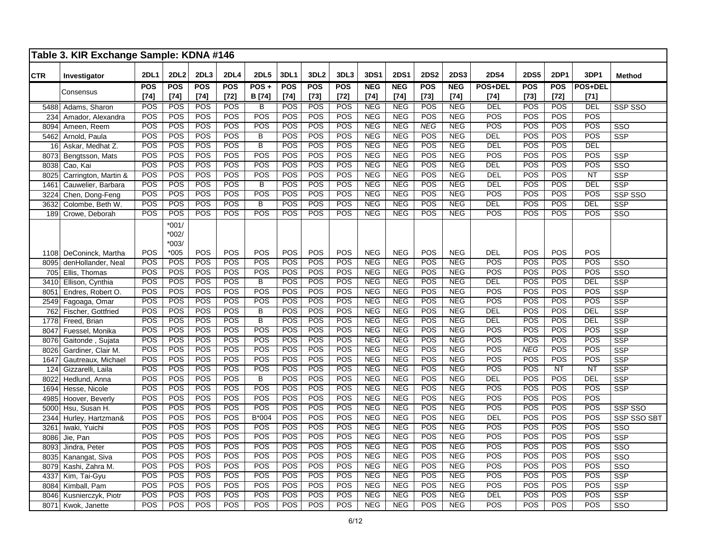|            | Table 3. KIR Exchange Sample: KDNA #146 |             |                               |            |                  |                         |            |                  |                  |             |             |                  |             |                |                  |             |                        |                         |
|------------|-----------------------------------------|-------------|-------------------------------|------------|------------------|-------------------------|------------|------------------|------------------|-------------|-------------|------------------|-------------|----------------|------------------|-------------|------------------------|-------------------------|
| <b>CTR</b> | Investigator                            | <b>2DL1</b> | <b>2DL2</b>                   | 2DL3       | 2DL4             | <b>2DL5</b>             | 3DL1       | 3DL <sub>2</sub> | 3DL3             | <b>3DS1</b> | <b>2DS1</b> | <b>2DS2</b>      | <b>2DS3</b> | <b>2DS4</b>    | <b>2DS5</b>      | <b>2DP1</b> | 3DP1                   | <b>Method</b>           |
|            | Consensus                               | <b>POS</b>  | <b>POS</b>                    | <b>POS</b> | <b>POS</b>       | $POS +$                 | <b>POS</b> | <b>POS</b>       | <b>POS</b>       | <b>NEG</b>  | <b>NEG</b>  | <b>POS</b>       | <b>NEG</b>  | <b>POS+DEL</b> | <b>POS</b>       | <b>POS</b>  | <b>POS+DEL</b>         |                         |
|            |                                         | $[74]$      | $[74]$                        | $[74]$     | $[72]$           | B [74]                  | $[74]$     | $[73]$           | $[72]$           | $[74]$      | $[74]$      | $[73]$           | $[74]$      | [74]           | $[73]$           | $[72]$      | $[71]$                 |                         |
| 5488       | Adams, Sharon                           | POS         | <b>POS</b>                    | <b>POS</b> | <b>POS</b>       | В                       | POS        | POS              | POS              | <b>NEG</b>  | <b>NEG</b>  | POS              | <b>NEG</b>  | DEL            | POS              | POS         | <b>DEL</b>             | SSP SSO                 |
| 234        | Amador, Alexandra                       | POS         | <b>POS</b>                    | <b>POS</b> | <b>POS</b>       | <b>POS</b>              | POS        | POS              | POS              | <b>NEG</b>  | <b>NEG</b>  | POS              | <b>NEG</b>  | POS            | POS              | <b>POS</b>  | <b>POS</b>             |                         |
| 8094       | Ameen, Reem                             | POS         | <b>POS</b>                    | POS        | $\overline{POS}$ | POS                     | POS        | $\overline{POS}$ | $\overline{POS}$ | <b>NEG</b>  | NEG         | NEG              | <b>NEG</b>  | POS            | $\overline{POS}$ | POS         | $\overline{POS}$       | SSO                     |
| 5462       | Arnold, Paula                           | <b>POS</b>  | POS                           | POS        | POS              | $\overline{B}$          | POS        | POS              | POS              | <b>NEG</b>  | <b>NEG</b>  | POS              | <b>NEG</b>  | DEL            | POS              | POS         | POS                    | SSP                     |
| 16         | Askar, Medhat Z.                        | POS         | POS                           | POS        | POS              | $\overline{B}$          | POS        | POS              | POS              | <b>NEG</b>  | <b>NEG</b>  | POS              | <b>NEG</b>  | DEL            | POS              | POS         | <b>DEL</b>             |                         |
| 8073       | Bengtsson, Mats                         | POS         | <b>POS</b>                    | POS        | <b>POS</b>       | $\overline{POS}$        | POS        | POS              | POS              | <b>NEG</b>  | <b>NEG</b>  | POS              | <b>NEG</b>  | POS            | POS              | POS         | POS                    | SSP                     |
| 8038       | Cao, Kai                                | POS         | POS                           | POS        | POS              | POS                     | POS        | POS              | POS              | <b>NEG</b>  | NEG         | POS              | <b>NEG</b>  | DEL            | POS              | POS         | POS                    | $\overline{\text{SSO}}$ |
| 8025       | Carrington, Martin &                    | POS         | POS                           | POS        | POS              | POS                     | POS        | POS              | POS              | <b>NEG</b>  | <b>NEG</b>  | $\overline{POS}$ | <b>NEG</b>  | DEL            | POS              | POS         | $\overline{\text{NT}}$ | SSP                     |
| 1461       | Cauwelier, Barbara                      | POS         | POS                           | POS        | POS              | B                       | POS        | POS              | $\overline{POS}$ | <b>NEG</b>  | <b>NEG</b>  | POS              | <b>NEG</b>  | DEL            | POS              | POS         | DEL                    | $\overline{\text{SSP}}$ |
| 3224       | Chen, Dong-Feng                         | POS         | POS                           | POS        | <b>POS</b>       | POS                     | POS        | POS              | POS              | <b>NEG</b>  | <b>NEG</b>  | POS              | <b>NEG</b>  | POS            | POS              | POS         | <b>POS</b>             | SSP SSO                 |
| 3632       | Colombe, Beth W                         | POS         | POS                           | POS        | POS              | $\overline{B}$          | POS        | POS              | POS              | <b>NEG</b>  | <b>NEG</b>  | POS              | <b>NEG</b>  | DEL            | <b>POS</b>       | POS         | DEL                    | SSP                     |
| 189        | Crowe, Deborah                          | POS         | POS                           | POS        | POS              | POS                     | POS        | POS              | POS              | <b>NEG</b>  | <b>NEG</b>  | POS              | <b>NEG</b>  | POS            | POS              | POS         | <b>POS</b>             | SSO                     |
|            |                                         |             | $*001/$<br>$*002/$<br>$*003/$ |            |                  |                         |            |                  |                  |             |             |                  |             |                |                  |             |                        |                         |
| 1108       | DeConinck, Martha                       | POS         | $*005$                        | POS        | POS              | POS                     | POS        | POS              | POS              | <b>NEG</b>  | <b>NEG</b>  | POS              | <b>NEG</b>  | <b>DEL</b>     | POS              | POS         | POS                    |                         |
| 8095       | denHollander, Neal                      | POS         | POS                           | POS        | <b>POS</b>       | <b>POS</b>              | POS        | POS              | POS              | <b>NEG</b>  | <b>NEG</b>  | POS              | <b>NEG</b>  | POS            | POS              | POS         | <b>POS</b>             | SSO                     |
| 705        | Ellis, Thomas                           | POS         | POS                           | POS        | POS              | POS                     | POS        | POS              | POS              | <b>NEG</b>  | <b>NEG</b>  | POS              | <b>NEG</b>  | POS            | POS              | <b>POS</b>  | POS                    | $\overline{\text{SSO}}$ |
| 3410       | Ellison, Cynthia                        | POS         | POS                           | POS        | POS              | $\overline{\mathsf{B}}$ | POS        | POS              | POS              | <b>NEG</b>  | <b>NEG</b>  | POS              | <b>NEG</b>  | DEL            | POS              | POS         | <b>DEL</b>             | <b>SSP</b>              |
| 8051       | Endres, Robert O.                       | <b>POS</b>  | <b>POS</b>                    | POS        | POS              | POS                     | POS        | POS              | POS              | <b>NEG</b>  | <b>NEG</b>  | POS              | <b>NEG</b>  | POS            | POS              | POS         | <b>POS</b>             | <b>SSP</b>              |
| 2549       | Fagoaga, Omar                           | POS         | <b>POS</b>                    | POS        | <b>POS</b>       | $\overline{POS}$        | POS        | POS              | POS              | <b>NEG</b>  | <b>NEG</b>  | POS              | <b>NEG</b>  | POS            | POS              | POS         | POS                    | SSP                     |
| 762        | Fischer, Gottfried                      | POS         | <b>POS</b>                    | POS        | POS              | $\overline{B}$          | POS        | POS              | POS              | <b>NEG</b>  | <b>NEG</b>  | POS              | <b>NEG</b>  | DEL            | POS              | POS         | DEL                    | SSP                     |
| 1778       | Freed, Brian                            | POS         | POS                           | POS        | POS              | $\overline{B}$          | POS        | POS              | POS              | <b>NEG</b>  | <b>NEG</b>  | $\overline{POS}$ | <b>NEG</b>  | <b>DEL</b>     | POS              | <b>POS</b>  | <b>DEL</b>             | $\overline{\text{SSP}}$ |
| 8047       | Fuessel, Monika                         | POS         | POS                           | POS        | POS              | POS                     | POS        | POS              | POS              | <b>NEG</b>  | <b>NEG</b>  | POS              | <b>NEG</b>  | POS            | POS              | POS         | POS                    | <b>SSP</b>              |
| 8076       | Gaitonde, Sujata                        | POS         | <b>POS</b>                    | <b>POS</b> | POS              | POS                     | POS        | POS              | POS              | <b>NEG</b>  | <b>NEG</b>  | POS              | <b>NEG</b>  | POS            | POS              | <b>POS</b>  | POS                    | <b>SSP</b>              |
| 8026       | Gardiner, Clair M.                      | POS         | POS                           | POS        | POS              | POS                     | POS        | POS              | POS              | <b>NEG</b>  | <b>NEG</b>  | POS              | <b>NEG</b>  | POS            | <b>NEG</b>       | POS         | POS                    | <b>SSP</b>              |
| 1647       | Gautreaux, Michael                      | POS         | POS                           | POS        | POS              | POS                     | POS        | POS              | POS              | <b>NEG</b>  | NEG         | POS              | <b>NEG</b>  | POS            | POS              | POS         | POS                    | SSP                     |
| 124        | Gizzarelli, Laila                       | POS         | <b>POS</b>                    | POS        | $\overline{POS}$ | POS                     | POS        | POS              | POS              | <b>NEG</b>  | <b>NEG</b>  | $\overline{POS}$ | <b>NEG</b>  | POS            | POS              | NT          | $\overline{\text{NT}}$ | $\overline{\text{SSP}}$ |
| 8022       | Hedlund, Anna                           | <b>POS</b>  | <b>POS</b>                    | POS        | <b>POS</b>       | $\overline{B}$          | POS        | POS              | POS              | <b>NEG</b>  | <b>NEG</b>  | <b>POS</b>       | <b>NEG</b>  | DEL            | POS              | POS         | DEL                    | SSP                     |
| 1694       | Hesse, Nicole                           | <b>POS</b>  | POS                           | POS        | POS              | POS                     | POS        | POS              | POS              | <b>NEG</b>  | <b>NEG</b>  | POS              | <b>NEG</b>  | POS            | POS              | <b>POS</b>  | POS                    | SSP                     |
| 4985       | Hoover, Beverly                         | POS         | POS                           | POS        | POS              | POS                     | POS        | POS              | POS              | <b>NEG</b>  | <b>NEG</b>  | POS              | <b>NEG</b>  | POS            | POS              | POS         | POS                    |                         |
| 5000       | Hsu, Susan H.                           | POS         | <b>POS</b>                    | POS        | POS              | POS                     | POS        | POS              | POS              | NEG         | NEG         | POS              | <b>NEG</b>  | POS            | POS              | POS         | POS                    | SSP SSO                 |
| 2344       | Hurley, Hartzman&                       | POS         | <b>POS</b>                    | POS        | <b>POS</b>       | $B*004$                 | POS        | POS              | POS              | <b>NEG</b>  | <b>NEG</b>  | POS              | <b>NEG</b>  | <b>DEL</b>     | POS              | POS         | <b>POS</b>             | SSP SSO SBT             |
| 3261       | Iwaki, Yuichi                           | <b>POS</b>  | POS                           | POS        | POS              | POS                     | POS        | POS              | POS              | <b>NEG</b>  | <b>NEG</b>  | POS              | <b>NEG</b>  | POS            | POS              | POS         | POS                    | SSO                     |
| 8086       | Jie, Pan                                | POS         | POS                           | POS        | POS              | <b>POS</b>              | POS        | POS              | POS              | <b>NEG</b>  | <b>NEG</b>  | POS              | <b>NEG</b>  | POS            | POS              | POS         | POS                    | SSP                     |
| 8093       | Jindra, Peter                           | POS         | <b>POS</b>                    | POS        | POS              | POS                     | POS        | POS              | POS              | <b>NEG</b>  | <b>NEG</b>  | POS              | <b>NEG</b>  | POS            | POS              | POS         | <b>POS</b>             | SSO                     |
| 8035       | Kanangat, Siva                          | POS         | <b>POS</b>                    | <b>POS</b> | POS              | POS                     | POS        | POS              | POS              | <b>NEG</b>  | <b>NEG</b>  | POS              | <b>NEG</b>  | POS            | POS              | POS         | POS                    | $\overline{\text{SSO}}$ |
| 8079       | Kashi, Zahra M.                         | POS         | <b>POS</b>                    | POS        | POS              | POS                     | POS        | POS              | POS              | <b>NEG</b>  | <b>NEG</b>  | POS              | <b>NEG</b>  | POS            | POS              | POS         | POS                    | $\overline{\text{SSO}}$ |
| 4337       | Kim, Tai-Gyu                            | POS         | POS                           | POS        | POS              | POS                     | POS        | POS              | POS              | <b>NEG</b>  | <b>NEG</b>  | POS              | <b>NEG</b>  | POS            | POS              | POS         | POS                    | SSP                     |
| 8084       | Kimball, Pam                            | POS         | <b>POS</b>                    | POS        | POS              | POS                     | POS        | POS              | POS              | <b>NEG</b>  | <b>NEG</b>  | POS              | <b>NEG</b>  | POS            | POS              | POS         | POS                    | <b>SSP</b>              |
| 8046       | Kusnierczyk, Piotr                      | POS         | <b>POS</b>                    | <b>POS</b> | POS              | POS                     | POS        | POS              | POS              | <b>NEG</b>  | <b>NEG</b>  | POS              | <b>NEG</b>  | <b>DEL</b>     | POS              | <b>POS</b>  | POS                    | SSP                     |
| 8071       | Kwok, Janette                           | <b>POS</b>  | <b>POS</b>                    | POS        | <b>POS</b>       | POS                     | POS        | POS              | POS              | <b>NEG</b>  | <b>NEG</b>  | POS              | <b>NEG</b>  | POS            | POS              | POS         | POS                    | SSO                     |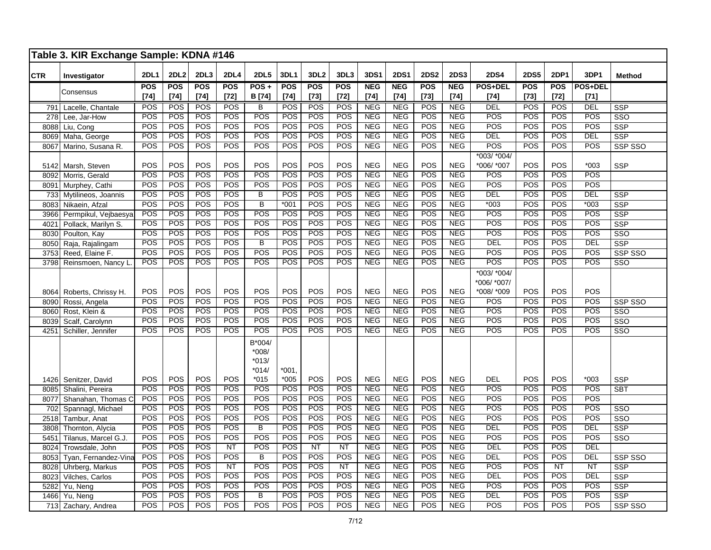|              | Table 3. KIR Exchange Sample: KDNA #146 |                  |             |            |             |                                                   |                   |                  |                  |            |             |             |             |                            |             |            |                  |                         |
|--------------|-----------------------------------------|------------------|-------------|------------|-------------|---------------------------------------------------|-------------------|------------------|------------------|------------|-------------|-------------|-------------|----------------------------|-------------|------------|------------------|-------------------------|
| <b>CTR</b>   | Investigator                            | <b>2DL1</b>      | <b>2DL2</b> | 2DL3       | <b>2DL4</b> | <b>2DL5</b>                                       | 3DL1              | 3DL <sub>2</sub> | 3DL3             | 3DS1       | <b>2DS1</b> | <b>2DS2</b> | <b>2DS3</b> | <b>2DS4</b>                | <b>2DS5</b> | 2DP1       | 3DP1             | <b>Method</b>           |
|              | Consensus                               | POS              | <b>POS</b>  | <b>POS</b> | <b>POS</b>  | $POS +$                                           | <b>POS</b>        | <b>POS</b>       | <b>POS</b>       | <b>NEG</b> | <b>NEG</b>  | <b>POS</b>  | <b>NEG</b>  | <b>POS+DEL</b>             | <b>POS</b>  | <b>POS</b> | POS+DEL          |                         |
|              |                                         | $[74]$           | $[74]$      | $[74]$     | $[72]$      | B [74]                                            | $[74]$            | $[73]$           | $[72]$           | $[74]$     | $[74]$      | $[73]$      | $[74]$      | $[74]$                     | $[73]$      | $[72]$     | $[71]$           |                         |
| 791          | Lacelle, Chantale                       | POS              | POS         | POS        | <b>POS</b>  | B                                                 | <b>POS</b>        | POS              | POS              | <b>NEG</b> | <b>NEG</b>  | POS         | <b>NEG</b>  | DEL                        | POS         | POS        | <b>DEL</b>       | <b>SSP</b>              |
| 278          | Lee, Jar-How                            | <b>POS</b>       | <b>POS</b>  | <b>POS</b> | <b>POS</b>  | <b>POS</b>                                        | POS               | POS              | POS              | <b>NEG</b> | <b>NEG</b>  | <b>POS</b>  | <b>NEG</b>  | <b>POS</b>                 | <b>POS</b>  | POS        | <b>POS</b>       | $\overline{\text{SSO}}$ |
| 8088         | Liu, Cong                               | POS              | <b>POS</b>  | POS        | POS         | POS                                               | POS               | POS              | POS              | <b>NEG</b> | <b>NEG</b>  | POS         | <b>NEG</b>  | $\overline{POS}$           | POS         | POS        | POS              | <b>SSP</b>              |
| 8069         | Maha, George                            | POS              | POS         | POS        | POS         | POS                                               | POS               | POS              | POS              | <b>NEG</b> | <b>NEG</b>  | <b>POS</b>  | <b>NEG</b>  | <b>DEL</b>                 | POS         | POS        | DEL              | SSP                     |
| 8067         | Marino, Susana R.                       | POS              | POS         | POS        | <b>POS</b>  | POS                                               | POS               | POS              | POS              | <b>NEG</b> | <b>NEG</b>  | POS         | <b>NEG</b>  | POS                        | POS         | POS        | POS              | SSP SSO                 |
| 5142         | Marsh, Steven                           | POS              | POS         | POS        | POS         | POS                                               | POS               | POS              | POS              | <b>NEG</b> | <b>NEG</b>  | POS         | <b>NEG</b>  | *003/ *004/<br>*006/ *007  | POS         | POS        | $*003$           | <b>SSP</b>              |
| 8092         | Morris, Gerald                          | $\overline{POS}$ | POS         | POS        | POS         | POS                                               | $\overline{POS}$  | $\overline{POS}$ | $\overline{POS}$ | NEG        | NEG         | POS         | <b>NEG</b>  | $\overline{POS}$           | POS         | POS        | $\overline{POS}$ |                         |
| 8091         | Murphey, Cathi                          | POS              | <b>POS</b>  | <b>POS</b> | <b>POS</b>  | POS                                               | POS               | POS              | POS              | <b>NEG</b> | <b>NEG</b>  | <b>POS</b>  | <b>NEG</b>  | POS                        | <b>POS</b>  | <b>POS</b> | POS              |                         |
| 733          | Mytilineos, Joannis                     | POS              | POS         | POS        | POS         | $\overline{B}$                                    | POS               | POS              | POS              | <b>NEG</b> | <b>NEG</b>  | POS         | <b>NEG</b>  | DEL                        | POS         | POS        | <b>DEL</b>       | <b>SSP</b>              |
| 8083         | Nikaein, Afzal                          | POS              | POS         | POS        | <b>POS</b>  | $\overline{B}$                                    | $*001$            | POS              | POS              | <b>NEG</b> | <b>NEG</b>  | <b>POS</b>  | <b>NEG</b>  | $*003$                     | POS         | POS        | $*003$           | <b>SSP</b>              |
| 3966         | Permpikul, Vejbaesya                    | POS              | POS         | <b>POS</b> | POS         | POS                                               | <b>POS</b>        | POS              | <b>POS</b>       | <b>NEG</b> | NEG         | POS         | <b>NEG</b>  | POS                        | POS         | POS        | POS              | <b>SSP</b>              |
| 4021         | Pollack, Marilyn S.                     | POS              | POS         | POS        | POS         | POS                                               | POS               | POS              | POS              | <b>NEG</b> | <b>NEG</b>  | POS         | <b>NEG</b>  | POS                        | POS         | POS        | POS              | SSP                     |
| 8030         | Poulton, Kay                            | <b>POS</b>       | <b>POS</b>  | <b>POS</b> | <b>POS</b>  | <b>POS</b>                                        | <b>POS</b>        | POS              | <b>POS</b>       | <b>NEG</b> | <b>NEG</b>  | <b>POS</b>  | <b>NEG</b>  | POS                        | <b>POS</b>  | <b>POS</b> | <b>POS</b>       | $\overline{\text{SSO}}$ |
| 8050         | Raja, Rajalingam                        | POS              | <b>POS</b>  | POS        | <b>POS</b>  | $\overline{B}$                                    | POS               | POS              | POS              | <b>NEG</b> | <b>NEG</b>  | POS         | <b>NEG</b>  | <b>DEL</b>                 | POS         | POS        | <b>DEL</b>       | <b>SSP</b>              |
| 3753         | Reed, Elaine F.                         | POS              | POS         | POS        | POS         | POS                                               | POS               | POS              | POS              | <b>NEG</b> | <b>NEG</b>  | POS         | <b>NEG</b>  | POS                        | POS         | POS        | POS              | SSP SSO                 |
| 3798         | Reinsmoen, Nancy L                      | <b>POS</b>       | <b>POS</b>  | <b>POS</b> | POS         | <b>POS</b>                                        | <b>POS</b>        | POS              | <b>POS</b>       | <b>NEG</b> | <b>NEG</b>  | <b>POS</b>  | <b>NEG</b>  | POS                        | POS         | POS        | POS              | SSO                     |
|              |                                         |                  |             |            |             |                                                   |                   |                  |                  |            |             |             |             | *003/ *004/<br>*006/ *007/ |             |            |                  |                         |
| 8064         | Roberts, Chrissy H.                     | POS              | POS         | POS        | POS         | <b>POS</b>                                        | <b>POS</b>        | POS              | <b>POS</b>       | <b>NEG</b> | <b>NEG</b>  | <b>POS</b>  | <b>NEG</b>  | *008/ *009                 | <b>POS</b>  | <b>POS</b> | <b>POS</b>       |                         |
| 8090         | Rossi, Angela                           | POS              | POS         | POS        | POS         | <b>POS</b>                                        | POS               | POS              | POS              | <b>NEG</b> | <b>NEG</b>  | POS         | <b>NEG</b>  | POS                        | POS         | POS        | POS              | SSP SSO                 |
| 8060         | Rost, Klein &                           | <b>POS</b>       | <b>POS</b>  | <b>POS</b> | POS         | $\overline{POS}$                                  | POS               | POS              | <b>POS</b>       | <b>NEG</b> | <b>NEG</b>  | POS         | <b>NEG</b>  | $\overline{POS}$           | <b>POS</b>  | POS        | $\overline{POS}$ | $\overline{\text{SSO}}$ |
| 8039         | Scalf, Carolynn                         | <b>POS</b>       | <b>POS</b>  | POS        | POS         | POS                                               | POS               | POS              | POS              | <b>NEG</b> | <b>NEG</b>  | POS         | <b>NEG</b>  | POS                        | POS         | POS        | POS              | $\overline{\text{SSO}}$ |
| 4251         | Schiller, Jennifer                      | POS              | <b>POS</b>  | <b>POS</b> | <b>POS</b>  | POS                                               | <b>POS</b>        | POS              | <b>POS</b>       | <b>NEG</b> | <b>NEG</b>  | POS         | <b>NEG</b>  | POS                        | POS         | POS        | POS              | SSO                     |
|              | Senitzer, David                         | POS              | POS         | POS        | POS         | B*004/<br>$*008/$<br>$*013/$<br>$*014/$<br>$*015$ | $*001.$<br>$*005$ | POS              | POS              | <b>NEG</b> | <b>NEG</b>  | POS         | <b>NEG</b>  | DEL                        | POS         | POS        | $*003$           | <b>SSP</b>              |
| 1426<br>8085 | Shalini, Pereira                        | POS              | <b>POS</b>  | POS        | <b>POS</b>  | POS                                               | <b>POS</b>        | POS              | <b>POS</b>       | <b>NEG</b> | <b>NEG</b>  | <b>POS</b>  | <b>NEG</b>  | POS                        | <b>POS</b>  | POS        | POS              | <b>SBT</b>              |
| 8077         | Shanahan, Thomas C                      | POS              | POS         | POS        | POS         | <b>POS</b>                                        | POS               | POS              | POS              | <b>NEG</b> | <b>NEG</b>  | POS         | <b>NEG</b>  | $\overline{POS}$           | POS         | POS        | POS              |                         |
| 702          | Spannagl, Michael                       | <b>POS</b>       | <b>POS</b>  | POS        | POS         | POS                                               | <b>POS</b>        | POS              | POS              | <b>NEG</b> | <b>NEG</b>  | POS         | <b>NEG</b>  | <b>POS</b>                 | <b>POS</b>  | POS        | POS              | SSO                     |
| 2518         | Tambur, Anat                            | POS              | POS         | POS        | POS         | <b>POS</b>                                        | <b>POS</b>        | POS              | POS              | <b>NEG</b> | <b>NEG</b>  | POS         | <b>NEG</b>  | POS                        | <b>POS</b>  | POS        | <b>POS</b>       | SSO                     |
| 3808         | Thornton, Alycia                        | POS              | <b>POS</b>  | POS        | POS         | $\overline{B}$                                    | POS               | POS              | POS              | <b>NEG</b> | <b>NEG</b>  | POS         | <b>NEG</b>  | <b>DEL</b>                 | <b>POS</b>  | POS        | DEL              | <b>SSP</b>              |
| 5451         | Tilanus, Marcel G.J.                    | POS              | <b>POS</b>  | POS        | POS         | POS                                               | POS               | POS              | POS              | <b>NEG</b> | <b>NEG</b>  | POS         | <b>NEG</b>  | POS                        | POS         | POS        | POS              | $\overline{\text{SSO}}$ |
| 8024         | Trowsdale, John                         | POS              | <b>POS</b>  | POS        | NT          | POS                                               | POS               | NT               | $\overline{NT}$  | <b>NEG</b> | <b>NEG</b>  | POS         | <b>NEG</b>  | DEL                        | POS         | POS        | <b>DEL</b>       |                         |
| 8053         | Tyan, Fernandez-Vina                    | <b>POS</b>       | <b>POS</b>  | <b>POS</b> | POS         | $\overline{\mathsf{B}}$                           | <b>POS</b>        | POS              | POS              | <b>NEG</b> | <b>NEG</b>  | POS         | <b>NEG</b>  | DEL                        | <b>POS</b>  | <b>POS</b> | <b>DEL</b>       | SSP SSO                 |
| 8028         | Uhrberg, Markus                         | <b>POS</b>       | <b>POS</b>  | POS        | <b>NT</b>   | POS                                               | POS               | POS              | <b>NT</b>        | <b>NEG</b> | <b>NEG</b>  | POS         | <b>NEG</b>  | $\overline{POS}$           | POS         | <b>NT</b>  | <b>NT</b>        | <b>SSP</b>              |
| 8023         | Vilches, Carlos                         | POS              | POS         | POS        | POS         | POS                                               | <b>POS</b>        | POS              | POS              | <b>NEG</b> | <b>NEG</b>  | POS         | <b>NEG</b>  | <b>DEL</b>                 | POS         | POS        | <b>DEL</b>       | <b>SSP</b>              |
| 5282         | Yu, Neng                                | POS              | POS         | POS        | POS         | POS                                               | <b>POS</b>        | POS              | POS              | <b>NEG</b> | <b>NEG</b>  | POS         | <b>NEG</b>  | POS                        | POS         | POS        | POS              | <b>SSP</b>              |
| 1466         | Yu, Neng                                | POS              | POS         | <b>POS</b> | <b>POS</b>  | $\overline{B}$                                    | POS               | POS              | POS              | <b>NEG</b> | <b>NEG</b>  | POS         | <b>NEG</b>  | <b>DEL</b>                 | POS         | POS        | POS              | SSP                     |
|              | 713 Zachary, Andrea                     | POS              | <b>POS</b>  | POS        | <b>POS</b>  | POS                                               | POS               | POS              | POS              | <b>NEG</b> | <b>NEG</b>  | <b>POS</b>  | <b>NEG</b>  | <b>POS</b>                 | <b>POS</b>  | <b>POS</b> | POS              | SSP SSO                 |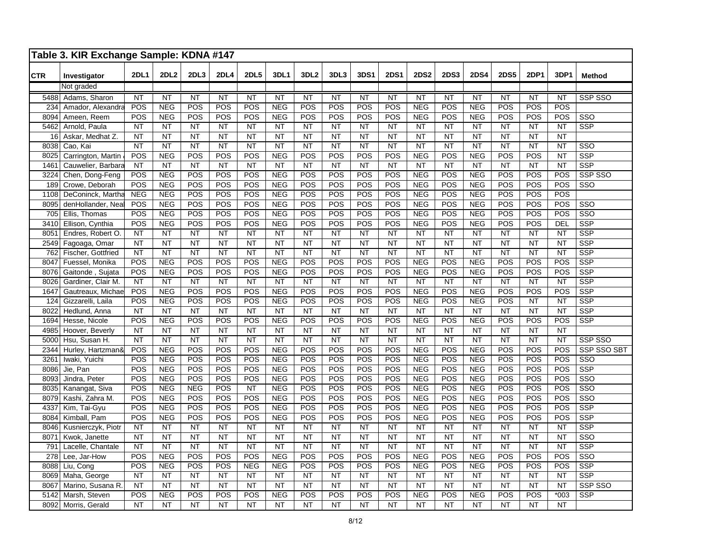|             | Table 3. KIR Exchange Sample: KDNA #147 |                   |                          |                  |                 |                 |                          |                  |            |             |                 |                          |                 |                          |                 |                 |                 |                         |
|-------------|-----------------------------------------|-------------------|--------------------------|------------------|-----------------|-----------------|--------------------------|------------------|------------|-------------|-----------------|--------------------------|-----------------|--------------------------|-----------------|-----------------|-----------------|-------------------------|
| <b>CTR</b>  | Investigator                            | <b>2DL1</b>       | 2DL2                     | 2DL <sub>3</sub> | 2DL4            | <b>2DL5</b>     | 3DL1                     | 3DL <sub>2</sub> | 3DL3       | <b>3DS1</b> | <b>2DS1</b>     | <b>2DS2</b>              | 2DS3            | <b>2DS4</b>              | <b>2DS5</b>     | <b>2DP1</b>     | 3DP1            | <b>Method</b>           |
|             | Not graded                              |                   |                          |                  |                 |                 |                          |                  |            |             |                 |                          |                 |                          |                 |                 |                 |                         |
| 5488        | Adams, Sharon                           | NT                | NT                       | NT               | $\overline{NT}$ | $\overline{NT}$ | $\overline{NT}$          | $\overline{NT}$  | NT         | NT          | $\overline{NT}$ | NT                       | $\overline{NT}$ | $\overline{NT}$          | $\overline{NT}$ | NT              | $\overline{NT}$ | SSP SSO                 |
| 234         | Amador, Alexandra                       | POS               | <b>NEG</b>               | POS              | POS             | POS             | <b>NEG</b>               | POS              | POS        | POS         | POS             | <b>NEG</b>               | POS             | <b>NEG</b>               | POS             | POS             | POS             |                         |
| 8094        | Ameen, Reem                             | POS               | <b>NEG</b>               | POS              | POS             | POS             | <b>NEG</b>               | POS              | POS        | POS         | POS             | <b>NEG</b>               | POS             | <b>NEG</b>               | POS             | POS             | POS             | SSO                     |
| 5462        | Arnold, Paula                           | NT                | <b>NT</b>                | <b>NT</b>        | <b>NT</b>       | <b>NT</b>       | <b>NT</b>                | <b>NT</b>        | <b>NT</b>  | <b>NT</b>   | <b>NT</b>       | <b>NT</b>                | <b>NT</b>       | <b>NT</b>                | <b>NT</b>       | <b>NT</b>       | <b>NT</b>       | <b>SSP</b>              |
| 16          | Askar, Medhat Z.                        | <b>NT</b>         | <b>NT</b>                | NT               | <b>NT</b>       | <b>NT</b>       | <b>NT</b>                | N <sub>T</sub>   | <b>NT</b>  | NT          | <b>NT</b>       | <b>NT</b>                | <b>NT</b>       | <b>NT</b>                | <b>NT</b>       | $\overline{NT}$ | <b>NT</b>       |                         |
| 8038        | Cao, Kai                                | <b>NT</b>         | <b>NT</b>                | NT               | <b>NT</b>       | <b>NT</b>       | <b>NT</b>                | <b>NT</b>        | <b>NT</b>  | NT          | <b>NT</b>       | <b>NT</b>                | <b>NT</b>       | <b>NT</b>                | <b>NT</b>       | <b>NT</b>       | <b>NT</b>       | SSO                     |
| 8025        | Carrington, Martin                      | POS               | <b>NEG</b>               | POS              | POS             | POS             | <b>NEG</b>               | POS              | POS        | POS         | POS             | <b>NEG</b>               | POS             | <b>NEG</b>               | POS             | POS             | <b>NT</b>       | <b>SSP</b>              |
| 1461        | Cauwelier, Barbara                      | <b>NT</b>         | <b>NT</b>                | <b>NT</b>        | <b>NT</b>       | <b>NT</b>       | <b>NT</b>                | <b>NT</b>        | NT         | <b>NT</b>   | <b>NT</b>       | <b>NT</b>                | NT              | <b>NT</b>                | <b>NT</b>       | <b>NT</b>       | <b>NT</b>       | $\overline{\text{SSP}}$ |
| 3224        | Chen, Dong-Feng                         | POS               | <b>NEG</b>               | POS              | POS             | POS             | <b>NEG</b>               | POS              | POS        | POS         | POS             | <b>NEG</b>               | POS             | <b>NEG</b>               | POS             | POS             | POS             | SSP SSO                 |
| 189         | Crowe, Deborah                          | POS               | <b>NEG</b>               | POS<br>POS       | POS             | POS<br>POS      | <b>NEG</b><br><b>NEG</b> | POS<br>POS       | POS<br>POS | POS<br>POS  | POS<br>POS      | <b>NEG</b><br><b>NEG</b> | POS<br>POS      | <b>NEG</b><br><b>NEG</b> | POS<br>POS      | POS<br>POS      | POS<br>POS      | S <sub>SO</sub>         |
| 1108        | DeConinck, Martha                       | <b>NEG</b><br>POS | <b>NEG</b><br><b>NEG</b> | POS              | POS<br>POS      | POS             | <b>NEG</b>               | POS              | POS        | POS         | POS             | <b>NEG</b>               | POS             | <b>NEG</b>               | POS             | POS             | POS             | SSO                     |
| 8095<br>705 | denHollander, Nea<br>Ellis, Thomas      | POS               | <b>NEG</b>               | POS              | POS             | POS             | <b>NEG</b>               | POS              | POS        | POS         | POS             | <b>NEG</b>               | POS             | <b>NEG</b>               | POS             | POS             | POS             | $\overline{\text{SSO}}$ |
| 3410        | Ellison, Cynthia                        | POS               | <b>NEG</b>               | POS              | POS             | POS             | <b>NEG</b>               | POS              | POS        | POS         | POS             | <b>NEG</b>               | POS             | <b>NEG</b>               | POS             | POS             | <b>DEL</b>      | SSP                     |
| 8051        | Endres, Robert O.                       | <b>NT</b>         | <b>NT</b>                | <b>NT</b>        | <b>NT</b>       | <b>NT</b>       | <b>NT</b>                | <b>NT</b>        | <b>NT</b>  | <b>NT</b>   | <b>NT</b>       | <b>NT</b>                | <b>NT</b>       | <b>NT</b>                | <b>NT</b>       | <b>NT</b>       | <b>NT</b>       | <b>SSP</b>              |
| 2549        | Fagoaga, Omar                           | <b>NT</b>         | <b>NT</b>                | <b>NT</b>        | <b>NT</b>       | <b>NT</b>       | <b>NT</b>                | <b>NT</b>        | <b>NT</b>  | <b>NT</b>   | <b>NT</b>       | <b>NT</b>                | <b>NT</b>       | <b>NT</b>                | <b>NT</b>       | <b>NT</b>       | <b>NT</b>       | SSP                     |
| 762         | Fischer, Gottfried                      | <b>NT</b>         | <b>NT</b>                | NT               | <b>NT</b>       | <b>NT</b>       | <b>NT</b>                | NT               | <b>NT</b>  | <b>NT</b>   | <b>NT</b>       | <b>NT</b>                | <b>NT</b>       | <b>NT</b>                | <b>NT</b>       | <b>NT</b>       | <b>NT</b>       | SSP                     |
| 8047        | Fuessel, Monika                         | POS               | <b>NEG</b>               | POS              | POS             | POS             | <b>NEG</b>               | POS              | POS        | POS         | POS             | <b>NEG</b>               | POS             | <b>NEG</b>               | POS             | POS             | POS             | $\overline{\text{SSP}}$ |
| 8076        | Gaitonde, Sujata                        | POS               | <b>NEG</b>               | POS              | POS             | POS             | <b>NEG</b>               | POS              | POS        | POS         | POS             | <b>NEG</b>               | POS             | <b>NEG</b>               | POS             | POS             | POS             | <b>SSP</b>              |
| 8026        | Gardiner, Clair M.                      | <b>NT</b>         | <b>NT</b>                | <b>NT</b>        | <b>NT</b>       | <b>NT</b>       | <b>NT</b>                | <b>NT</b>        | <b>NT</b>  | <b>NT</b>   | <b>NT</b>       | <b>NT</b>                | <b>NT</b>       | <b>NT</b>                | <b>NT</b>       | <b>NT</b>       | <b>NT</b>       | SSP                     |
| 1647        | Gautreaux, Michae                       | POS               | <b>NEG</b>               | POS              | POS             | POS             | <b>NEG</b>               | POS              | POS        | POS         | POS             | <b>NEG</b>               | POS             | <b>NEG</b>               | POS             | POS             | POS             | SSP                     |
| 124         | Gizzarelli, Laila                       | POS               | <b>NEG</b>               | POS              | POS             | POS             | <b>NEG</b>               | POS              | POS        | POS         | POS             | <b>NEG</b>               | POS             | <b>NEG</b>               | POS             | NT              | <b>NT</b>       | $\overline{\text{SSP}}$ |
| 8022        | Hedlund, Anna                           | <b>NT</b>         | <b>NT</b>                | <b>NT</b>        | <b>NT</b>       | <b>NT</b>       | <b>NT</b>                | <b>NT</b>        | <b>NT</b>  | <b>NT</b>   | <b>NT</b>       | <b>NT</b>                | <b>NT</b>       | <b>NT</b>                | <b>NT</b>       | NT              | <b>NT</b>       | $\overline{\text{SSP}}$ |
| 1694        | Hesse, Nicole                           | POS               | <b>NEG</b>               | POS              | POS             | POS             | <b>NEG</b>               | POS              | POS        | POS         | POS             | <b>NEG</b>               | POS             | <b>NEG</b>               | POS             | POS             | POS             | <b>SSP</b>              |
| 4985        | Hoover, Beverly                         | <b>NT</b>         | <b>NT</b>                | <b>NT</b>        | <b>NT</b>       | <b>NT</b>       | <b>NT</b>                | <b>NT</b>        | <b>NT</b>  | <b>NT</b>   | <b>NT</b>       | <b>NT</b>                | <b>NT</b>       | <b>NT</b>                | <b>NT</b>       | <b>NT</b>       | <b>NT</b>       |                         |
| 5000        | Hsu, Susan H.                           | <b>NT</b>         | <b>NT</b>                | NT               | NT              | NT              | <b>NT</b>                | NT               | <b>NT</b>  | NT          | NT              | <b>NT</b>                | <b>NT</b>       | <b>NT</b>                | <b>NT</b>       | NT              | <b>NT</b>       | SSP SSO                 |
| 2344        | Hurley, Hartzman&                       | POS               | <b>NEG</b>               | POS              | POS             | POS             | <b>NEG</b>               | POS              | POS        | POS         | POS             | <b>NEG</b>               | POS             | <b>NEG</b>               | POS             | POS             | POS             | SSP SSO SBT             |
| 3261        | Iwaki, Yuichi                           | POS               | <b>NEG</b>               | POS              | POS             | POS             | <b>NEG</b>               | POS              | POS        | POS         | POS             | <b>NEG</b>               | POS             | <b>NEG</b>               | POS             | POS             | POS             | SSO                     |
| 8086        | Jie, Pan                                | POS               | <b>NEG</b>               | POS              | POS             | POS             | NEG                      | POS              | POS        | POS         | POS             | <b>NEG</b>               | POS             | <b>NEG</b>               | POS             | POS             | POS             | <b>SSP</b>              |
| 8093        | Jindra, Peter                           | POS               | <b>NEG</b>               | POS              | POS             | POS             | <b>NEG</b>               | POS              | POS        | POS         | POS             | <b>NEG</b>               | POS             | <b>NEG</b>               | POS             | POS             | POS             | SSO                     |
| 8035        | Kanangat, Siva                          | POS               | <b>NEG</b>               | <b>NEG</b>       | POS             | NT              | <b>NEG</b>               | POS              | POS        | POS         | POS             | <b>NEG</b>               | POS             | <b>NEG</b>               | POS             | POS             | POS             | SSO                     |
| 8079        | Kashi, Zahra M.                         | POS               | <b>NEG</b>               | POS              | POS             | POS             | <b>NEG</b>               | POS              | POS        | POS         | POS             | <b>NEG</b>               | POS             | <b>NEG</b>               | POS             | POS             | POS             | SSO                     |
| 4337        | Kim, Tai-Gyu                            | POS               | <b>NEG</b>               | POS              | POS             | POS             | <b>NEG</b>               | POS              | POS        | POS         | POS             | <b>NEG</b>               | POS             | <b>NEG</b>               | POS             | POS             | POS             | $\overline{\text{SSP}}$ |
| 8084        | Kimball, Pam                            | POS               | <b>NEG</b>               | POS              | POS             | POS             | <b>NEG</b>               | POS              | POS        | POS         | POS             | <b>NEG</b>               | POS             | <b>NEG</b>               | POS             | POS             | POS             | <b>SSP</b>              |
| 8046        | Kusnierczyk, Piotr                      | <b>NT</b>         | <b>NT</b>                | <b>NT</b>        | <b>NT</b>       | <b>NT</b>       | <b>NT</b>                | <b>NT</b>        | <b>NT</b>  | <b>NT</b>   | <b>NT</b>       | <b>NT</b>                | <b>NT</b>       | <b>NT</b>                | <b>NT</b>       | <b>NT</b>       | <b>NT</b>       | <b>SSP</b>              |
| 8071        | Kwok, Janette                           | <b>NT</b>         | <b>NT</b>                | <b>NT</b>        | <b>NT</b>       | <b>NT</b>       | <b>NT</b>                | <b>NT</b>        | <b>NT</b>  | <b>NT</b>   | <b>NT</b>       | <b>NT</b>                | <b>NT</b>       | <b>NT</b>                | <b>NT</b>       | <b>NT</b>       | <b>NT</b>       | SSO                     |
| 791         | Lacelle, Chantale                       | <b>NT</b>         | <b>NT</b>                | <b>NT</b>        | <b>NT</b>       | <b>NT</b>       | <b>NT</b>                | <b>NT</b>        | <b>NT</b>  | <b>NT</b>   | <b>NT</b>       | <b>NT</b>                | <b>NT</b>       | <b>NT</b>                | <b>NT</b>       | <b>NT</b>       | <b>NT</b>       | SSP                     |
| 278         | Lee, Jar-How                            | POS               | <b>NEG</b>               | POS              | POS             | POS             | <b>NEG</b>               | POS              | POS        | POS         | POS             | <b>NEG</b>               | POS             | <b>NEG</b>               | POS             | POS             | POS             | $\overline{\text{SSO}}$ |
| 8088        | Liu, Cong                               | POS               | <b>NEG</b>               | POS              | POS             | <b>NEG</b>      | <b>NEG</b>               | POS              | POS        | POS         | POS             | <b>NEG</b>               | POS             | <b>NEG</b>               | POS             | POS             | POS             | <b>SSP</b>              |
| 8069        | Maha, George                            | <b>NT</b>         | <b>NT</b>                | <b>NT</b>        | <b>NT</b>       | <b>NT</b>       | <b>NT</b>                | <b>NT</b>        | <b>NT</b>  | <b>NT</b>   | <b>NT</b>       | <b>NT</b>                | <b>NT</b>       | <b>NT</b>                | <b>NT</b>       | <b>NT</b>       | <b>NT</b>       | <b>SSP</b>              |
| 8067        | Marino, Susana R.                       | <b>NT</b>         | <b>NT</b>                | <b>NT</b>        | <b>NT</b>       | <b>NT</b>       | <b>NT</b>                | <b>NT</b>        | <b>NT</b>  | <b>NT</b>   | <b>NT</b>       | <b>NT</b>                | <b>NT</b>       | <b>NT</b>                | <b>NT</b>       | <b>NT</b>       | <b>NT</b>       | SSP SSO                 |
| 5142        | Marsh, Steven                           | POS               | <b>NEG</b>               | POS              | POS             | POS             | <b>NEG</b>               | POS              | POS        | POS         | POS             | <b>NEG</b>               | POS             | <b>NEG</b>               | POS             | POS             | $*003$          | SSP                     |
| 8092        | Morris, Gerald                          | <b>NT</b>         | <b>NT</b>                | <b>NT</b>        | <b>NT</b>       | <b>NT</b>       | <b>NT</b>                | <b>NT</b>        | NT         | <b>NT</b>   | <b>NT</b>       | <b>NT</b>                | <b>NT</b>       | <b>NT</b>                | <b>NT</b>       | <b>NT</b>       | <b>NT</b>       |                         |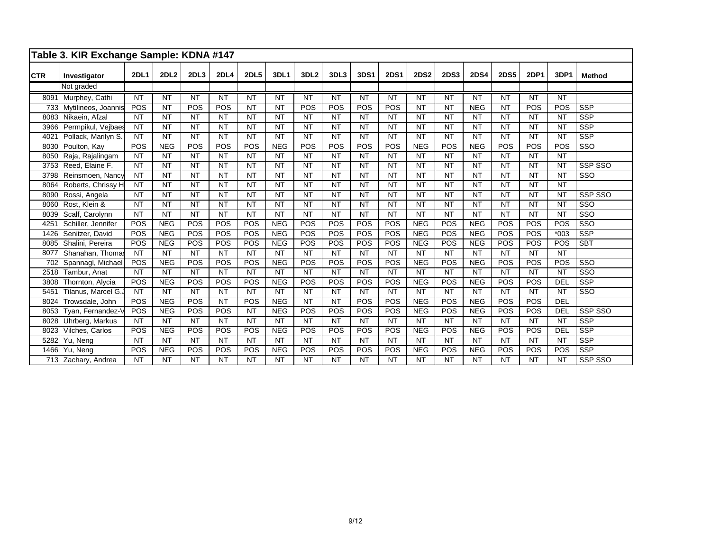|            | Table 3. KIR Exchange Sample: KDNA #147 |             |             |           |                 |                 |             |                  |                        |                 |             |                 |                 |                 |             |                 |            |                         |
|------------|-----------------------------------------|-------------|-------------|-----------|-----------------|-----------------|-------------|------------------|------------------------|-----------------|-------------|-----------------|-----------------|-----------------|-------------|-----------------|------------|-------------------------|
| <b>CTR</b> | Investigator                            | <b>2DL1</b> | <b>2DL2</b> | 2DL3      | <b>2DL4</b>     | <b>2DL5</b>     | <b>3DL1</b> | 3DL <sub>2</sub> | 3DL3                   | <b>3DS1</b>     | <b>2DS1</b> | <b>2DS2</b>     | <b>2DS3</b>     | <b>2DS4</b>     | <b>2DS5</b> | <b>2DP1</b>     | 3DP1       | Method                  |
|            | Not graded                              |             |             |           |                 |                 |             |                  |                        |                 |             |                 |                 |                 |             |                 |            |                         |
| 8091       | Murphey, Cathi                          | <b>NT</b>   | <b>NT</b>   | <b>NT</b> | $\overline{NT}$ | $\overline{NT}$ | <b>NT</b>   | $\overline{NT}$  | $\overline{\text{NT}}$ | $\overline{NT}$ | <b>NT</b>   | $\overline{NT}$ | <b>NT</b>       | $\overline{NT}$ | <b>NT</b>   | $\overline{NT}$ | <b>NT</b>  |                         |
| 733        | Mytilineos, Joannis                     | POS         | <b>NT</b>   | POS       | POS             | <b>NT</b>       | <b>NT</b>   | POS              | POS                    | POS             | POS         | <b>NT</b>       | <b>NT</b>       | <b>NEG</b>      | <b>NT</b>   | POS             | POS        | <b>SSP</b>              |
| 8083       | Nikaein, Afzal                          | <b>NT</b>   | <b>NT</b>   | <b>NT</b> | <b>NT</b>       | <b>NT</b>       | <b>NT</b>   | <b>NT</b>        | <b>NT</b>              | <b>NT</b>       | <b>NT</b>   | <b>NT</b>       | <b>NT</b>       | <b>NT</b>       | <b>NT</b>   | <b>NT</b>       | <b>NT</b>  | <b>SSP</b>              |
| 3966       | Permpikul, Vejbaes                      | <b>NT</b>   | <b>NT</b>   | <b>NT</b> | <b>NT</b>       | <b>NT</b>       | <b>NT</b>   | <b>NT</b>        | <b>NT</b>              | <b>NT</b>       | <b>NT</b>   | <b>NT</b>       | <b>NT</b>       | <b>NT</b>       | <b>NT</b>   | <b>NT</b>       | <b>NT</b>  | <b>SSP</b>              |
| 4021       | Pollack, Marilyn S.                     | <b>NT</b>   | <b>NT</b>   | <b>NT</b> | <b>NT</b>       | <b>NT</b>       | <b>NT</b>   | <b>NT</b>        | <b>NT</b>              | <b>NT</b>       | <b>NT</b>   | <b>NT</b>       | <b>NT</b>       | <b>NT</b>       | <b>NT</b>   | <b>NT</b>       | <b>NT</b>  | SSP                     |
| 8030       | Poulton, Kay                            | POS         | <b>NEG</b>  | POS       | POS             | POS             | <b>NEG</b>  | POS              | POS                    | POS             | POS         | <b>NEG</b>      | POS             | <b>NEG</b>      | POS         | POS             | POS        | SSO                     |
| 8050       | Raja, Rajalingam                        | <b>NT</b>   | <b>NT</b>   | <b>NT</b> | <b>NT</b>       | <b>NT</b>       | <b>NT</b>   | <b>NT</b>        | <b>NT</b>              | <b>NT</b>       | <b>NT</b>   | <b>NT</b>       | <b>NT</b>       | <b>NT</b>       | <b>NT</b>   | <b>NT</b>       | <b>NT</b>  |                         |
| 3753       | Reed, Elaine F.                         | <b>NT</b>   | <b>NT</b>   | <b>NT</b> | <b>NT</b>       | <b>NT</b>       | <b>NT</b>   | <b>NT</b>        | <b>NT</b>              | <b>NT</b>       | <b>NT</b>   | <b>NT</b>       | <b>NT</b>       | <b>NT</b>       | <b>NT</b>   | <b>NT</b>       | <b>NT</b>  | SSP SSO                 |
| 3798       | Reinsmoen, Nancy                        | <b>NT</b>   | <b>NT</b>   | <b>NT</b> | <b>NT</b>       | <b>NT</b>       | <b>NT</b>   | <b>NT</b>        | <b>NT</b>              | <b>NT</b>       | <b>NT</b>   | <b>NT</b>       | <b>NT</b>       | <b>NT</b>       | <b>NT</b>   | <b>NT</b>       | <b>NT</b>  | SSO                     |
| 8064       | Roberts, Chrissy H                      | <b>NT</b>   | <b>NT</b>   | <b>NT</b> | <b>NT</b>       | <b>NT</b>       | <b>NT</b>   | <b>NT</b>        | <b>NT</b>              | <b>NT</b>       | <b>NT</b>   | <b>NT</b>       | <b>NT</b>       | <b>NT</b>       | <b>NT</b>   | <b>NT</b>       | <b>NT</b>  |                         |
| 8090       | Rossi, Angela                           | NT          | <b>NT</b>   | <b>NT</b> | NT              | <b>NT</b>       | <b>NT</b>   | NT               | $\overline{NT}$        | <b>NT</b>       | <b>NT</b>   | $\overline{NT}$ | $\overline{NT}$ | <b>NT</b>       | <b>NT</b>   | <b>NT</b>       | <b>NT</b>  | SSP SSO                 |
| 8060       | Rost, Klein &                           | <b>NT</b>   | <b>NT</b>   | <b>NT</b> | <b>NT</b>       | <b>NT</b>       | <b>NT</b>   | <b>NT</b>        | <b>NT</b>              | <b>NT</b>       | <b>NT</b>   | <b>NT</b>       | <b>NT</b>       | <b>NT</b>       | <b>NT</b>   | <b>NT</b>       | <b>NT</b>  | $\overline{\text{SSO}}$ |
| 8039       | Scalf, Carolynn                         | <b>NT</b>   | <b>NT</b>   | <b>NT</b> | <b>NT</b>       | <b>NT</b>       | <b>NT</b>   | <b>NT</b>        | <b>NT</b>              | <b>NT</b>       | <b>NT</b>   | <b>NT</b>       | <b>NT</b>       | <b>NT</b>       | <b>NT</b>   | <b>NT</b>       | <b>NT</b>  | $\overline{\text{SSO}}$ |
| 4251       | Schiller, Jennifer                      | POS         | <b>NEG</b>  | POS       | POS             | POS             | <b>NEG</b>  | POS              | POS                    | POS             | POS         | <b>NEG</b>      | POS             | <b>NEG</b>      | POS         | POS             | POS        | $\overline{\text{SSO}}$ |
| 1426       | Senitzer, David                         | POS         | <b>NEG</b>  | POS       | POS             | POS             | <b>NEG</b>  | POS              | POS                    | POS             | POS         | <b>NEG</b>      | POS             | <b>NEG</b>      | POS         | POS             | $*003$     | <b>SSP</b>              |
| 8085       | Shalini, Pereira                        | POS         | <b>NEG</b>  | POS       | POS             | POS             | <b>NEG</b>  | POS              | POS                    | POS             | POS         | <b>NEG</b>      | POS             | <b>NEG</b>      | POS         | POS             | POS        | <b>SBT</b>              |
| 8077       | Shanahan, Thomas                        | <b>NT</b>   | <b>NT</b>   | <b>NT</b> | <b>NT</b>       | <b>NT</b>       | <b>NT</b>   | <b>NT</b>        | NT                     | <b>NT</b>       | <b>NT</b>   | <b>NT</b>       | <b>NT</b>       | <b>NT</b>       | <b>NT</b>   | <b>NT</b>       | <b>NT</b>  |                         |
| 702        | Spannagl, Michael                       | POS         | <b>NEG</b>  | POS       | POS             | POS             | <b>NEG</b>  | POS              | POS                    | POS             | POS         | <b>NEG</b>      | POS             | <b>NEG</b>      | POS         | POS             | POS        | SSO                     |
| 2518       | Tambur, Anat                            | <b>NT</b>   | <b>NT</b>   | <b>NT</b> | <b>NT</b>       | <b>NT</b>       | <b>NT</b>   | <b>NT</b>        | <b>NT</b>              | <b>NT</b>       | <b>NT</b>   | <b>NT</b>       | <b>NT</b>       | <b>NT</b>       | <b>NT</b>   | <b>NT</b>       | <b>NT</b>  | $\overline{\text{SSO}}$ |
| 3808       | Thornton, Alycia                        | POS         | <b>NEG</b>  | POS       | POS             | POS             | <b>NEG</b>  | POS              | POS                    | POS             | POS         | <b>NEG</b>      | POS             | <b>NEG</b>      | POS         | POS             | <b>DEL</b> | <b>SSP</b>              |
| 5451       | Tilanus, Marcel G.                      | <b>NT</b>   | <b>NT</b>   | <b>NT</b> | <b>NT</b>       | <b>NT</b>       | <b>NT</b>   | <b>NT</b>        | <b>NT</b>              | <b>NT</b>       | <b>NT</b>   | <b>NT</b>       | <b>NT</b>       | <b>NT</b>       | <b>NT</b>   | <b>NT</b>       | <b>NT</b>  | SSO                     |
| 8024       | Trowsdale, John                         | POS         | <b>NEG</b>  | POS       | <b>NT</b>       | POS             | <b>NEG</b>  | <b>NT</b>        | <b>NT</b>              | POS             | POS         | <b>NEG</b>      | POS             | <b>NEG</b>      | POS         | POS             | <b>DEL</b> |                         |
| 8053       | Tyan, Fernandez-V                       | POS         | <b>NEG</b>  | POS       | POS             | <b>NT</b>       | <b>NEG</b>  | POS              | POS                    | POS             | POS         | <b>NEG</b>      | POS             | <b>NEG</b>      | POS         | POS             | <b>DEL</b> | <b>SSP SSO</b>          |
| 8028       | Uhrberg, Markus                         | <b>NT</b>   | <b>NT</b>   | <b>NT</b> | <b>NT</b>       | <b>NT</b>       | <b>NT</b>   | <b>NT</b>        | $\overline{NT}$        | <b>NT</b>       | <b>NT</b>   | <b>NT</b>       | <b>NT</b>       | <b>NT</b>       | <b>NT</b>   | <b>NT</b>       | <b>NT</b>  | <b>SSP</b>              |
| 8023       | Vilches, Carlos                         | POS         | <b>NEG</b>  | POS       | POS             | POS             | <b>NEG</b>  | POS              | POS                    | POS             | POS         | <b>NEG</b>      | POS             | <b>NEG</b>      | POS         | POS             | DEL        | <b>SSP</b>              |
| 5282       | Yu, Neng                                | <b>NT</b>   | <b>NT</b>   | <b>NT</b> | <b>NT</b>       | <b>NT</b>       | <b>NT</b>   | <b>NT</b>        | <b>NT</b>              | <b>NT</b>       | <b>NT</b>   | <b>NT</b>       | <b>NT</b>       | <b>NT</b>       | <b>NT</b>   | <b>NT</b>       | <b>NT</b>  | <b>SSP</b>              |
| 1466       | Yu, Neng                                | POS         | <b>NEG</b>  | POS       | POS             | POS             | <b>NEG</b>  | POS              | POS                    | POS             | POS         | <b>NEG</b>      | POS             | <b>NEG</b>      | POS         | POS             | POS        | <b>SSP</b>              |
|            | 713 Zachary, Andrea                     | <b>NT</b>   | <b>NT</b>   | <b>NT</b> | <b>NT</b>       | <b>NT</b>       | <b>NT</b>   | <b>NT</b>        | <b>NT</b>              | <b>NT</b>       | <b>NT</b>   | <b>NT</b>       | <b>NT</b>       | <b>NT</b>       | <b>NT</b>   | <b>NT</b>       | <b>NT</b>  | SSP SSO                 |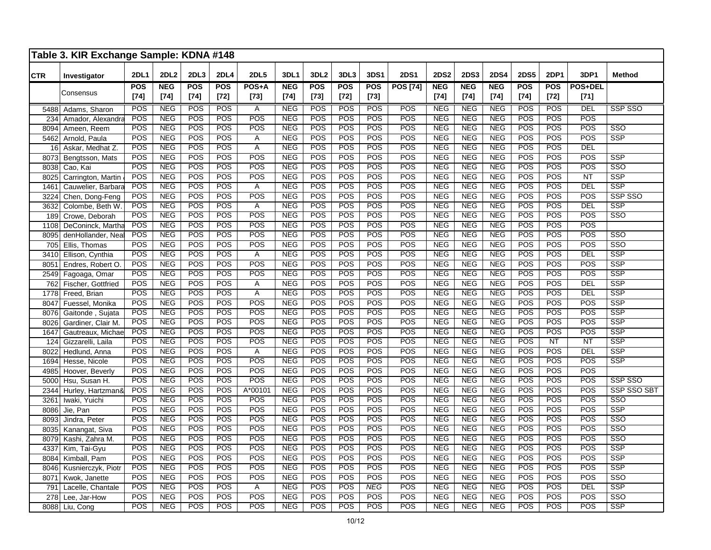|            | Table 3. KIR Exchange Sample: KDNA #148 |                  |                          |                  |                   |                  |                          |                   |                   |                         |                   |                          |                          |                          |                   |                         |                |                         |
|------------|-----------------------------------------|------------------|--------------------------|------------------|-------------------|------------------|--------------------------|-------------------|-------------------|-------------------------|-------------------|--------------------------|--------------------------|--------------------------|-------------------|-------------------------|----------------|-------------------------|
| <b>CTR</b> | Investigator                            | <b>2DL1</b>      | <b>2DL2</b>              | 2DL <sub>3</sub> | <b>2DL4</b>       | <b>2DL5</b>      | <b>3DL1</b>              | 3DL <sub>2</sub>  | 3DL3              | <b>3DS1</b>             | <b>2DS1</b>       | <b>2DS2</b>              | <b>2DS3</b>              | <b>2DS4</b>              | <b>2DS5</b>       | 2DP1                    | 3DP1           | <b>Method</b>           |
|            | Consensus                               | <b>POS</b>       | <b>NEG</b>               | POS              | POS               | POS+A            | <b>NEG</b>               | <b>POS</b>        | $\overline{POS}$  | <b>POS</b>              | <b>POS [74]</b>   | <b>NEG</b>               | <b>NEG</b>               | <b>NEG</b>               | <b>POS</b>        | <b>POS</b>              | <b>POS+DEL</b> |                         |
|            |                                         | $[74]$           | $[74]$                   | $[74]$           | $[72]$            | $[73]$           | $[74]$                   | $[73]$            | $[72]$            | $[73]$                  |                   | $[74]$                   | $[74]$                   | $[74]$                   | $[74]$            | $[72]$                  | $[71]$         |                         |
| 5488       | Adams, Sharon                           | <b>POS</b>       | <b>NEG</b>               | POS              | POS               | Α                | <b>NEG</b>               | <b>POS</b>        | POS               | POS                     | <b>POS</b>        | <b>NEG</b>               | <b>NEG</b>               | <b>NEG</b>               | <b>POS</b>        | POS                     | DEL            | <b>SSP SSO</b>          |
| 234        | Amador, Alexandra                       | POS              | <b>NEG</b>               | POS              | POS               | POS              | <b>NEG</b>               | POS               | POS               | POS                     | POS               | <b>NEG</b>               | <b>NEG</b>               | <b>NEG</b>               | POS               | POS                     | POS            |                         |
| 8094       | Ameen, Reem                             | POS              | <b>NEG</b>               | <b>POS</b>       | <b>POS</b>        | POS              | <b>NEG</b>               | $\overline{POS}$  | POS               | POS                     | POS               | <b>NEG</b>               | <b>NEG</b>               | <b>NEG</b>               | POS               | POS                     | POS            | SSO                     |
| 5462       | Arnold, Paula                           | POS              | <b>NEG</b>               | POS              | POS               | A                | <b>NEG</b>               | POS               | POS               | POS                     | POS               | <b>NEG</b>               | <b>NEG</b>               | <b>NEG</b>               | POS               | POS                     | POS            | <b>SSP</b>              |
| 16         | Askar, Medhat Z.                        | POS              | <b>NEG</b>               | <b>POS</b>       | POS               | A                | <b>NEG</b>               | <b>POS</b>        | <b>POS</b>        | POS                     | POS               | <b>NEG</b>               | <b>NEG</b>               | <b>NEG</b>               | POS               | <b>POS</b>              | DEL            |                         |
| 8073       | Bengtsson, Mats                         | POS              | <b>NEG</b>               | POS              | POS               | POS              | <b>NEG</b>               | <b>POS</b>        | POS               | POS                     | POS               | <b>NEG</b>               | <b>NEG</b>               | <b>NEG</b>               | POS               | POS                     | POS            | <b>SSP</b>              |
| 8038       | Cao, Kai                                | POS              | <b>NEG</b>               | POS              | <b>POS</b>        | POS              | <b>NEG</b>               | POS               | <b>POS</b>        | POS                     | POS               | <b>NEG</b>               | <b>NEG</b>               | <b>NEG</b>               | POS               | POS                     | POS            | SSO                     |
| 8025       | Carrington, Martin                      | POS              | <b>NEG</b>               | POS              | POS               | POS              | <b>NEG</b>               | POS               | <b>POS</b>        | POS                     | <b>POS</b>        | <b>NEG</b>               | <b>NEG</b>               | <b>NEG</b>               | <b>POS</b>        | POS                     | NT             | <b>SSP</b>              |
| 1461       | Cauwelier, Barbara                      | POS              | <b>NEG</b>               | POS              | POS               | Α                | <b>NEG</b>               | <b>POS</b>        | POS               | POS                     | POS               | <b>NEG</b>               | <b>NEG</b>               | <b>NEG</b>               | <b>POS</b>        | POS                     | DEL            | <b>SSP</b>              |
| 3224       | Chen, Dong-Feng                         | POS              | <b>NEG</b>               | <b>POS</b>       | POS               | POS              | <b>NEG</b>               | <b>POS</b>        | <b>POS</b>        | POS                     | POS               | <b>NEG</b>               | <b>NEG</b>               | <b>NEG</b>               | POS               | POS                     | POS            | SSP SSO                 |
| 3632       | Colombe, Beth W                         | POS              | <b>NEG</b>               | POS              | <b>POS</b>        | Α                | <b>NEG</b>               | <b>POS</b>        | POS               | POS                     | POS               | <b>NEG</b>               | <b>NEG</b>               | <b>NEG</b>               | POS               | POS                     | DEL            | <b>SSP</b>              |
| 189        | Crowe, Deborah                          | POS              | <b>NEG</b>               | POS              | POS               | POS              | <b>NEG</b>               | POS               | POS               | POS                     | POS               | <b>NEG</b>               | <b>NEG</b>               | <b>NEG</b>               | POS               | POS                     | POS            | SSO                     |
| 1108       | DeConinck, Martha                       | POS              | <b>NEG</b>               | POS              | POS               | POS              | <b>NEG</b>               | POS               | POS               | POS                     | <b>POS</b>        | NEG                      | <b>NEG</b>               | <b>NEG</b>               | <b>POS</b>        | <b>POS</b>              | <b>POS</b>     |                         |
| 8095       | denHollander, Neal                      | POS              | <b>NEG</b>               | <b>POS</b>       | POS               | POS              | <b>NEG</b>               | <b>POS</b>        | POS               | POS                     | <b>POS</b>        | <b>NEG</b>               | <b>NEG</b>               | <b>NEG</b>               | POS               | <b>POS</b>              | POS            | SSO                     |
| 705        | Ellis, Thomas                           | POS              | <b>NEG</b>               | POS              | POS               | POS              | <b>NEG</b>               | POS               | POS               | POS                     | POS               | <b>NEG</b>               | <b>NEG</b>               | <b>NEG</b>               | POS               | POS                     | POS            | SSO                     |
| 3410       | Ellison, Cynthia                        | POS              | <b>NEG</b>               | POS              | POS               | Α                | <b>NEG</b>               | POS               | POS               | POS                     | POS               | <b>NEG</b>               | <b>NEG</b>               | <b>NEG</b>               | POS               | POS                     | DEL            | $\overline{\text{SSP}}$ |
| 8051       | Endres, Robert O                        | POS              | <b>NEG</b>               | POS              | POS               | POS              | <b>NEG</b>               | POS               | POS               | POS                     | POS               | <b>NEG</b>               | <b>NEG</b>               | <b>NEG</b>               | POS               | POS                     | POS            | $\overline{\text{SSP}}$ |
| 2549       | Fagoaga, Omar                           | POS              | <b>NEG</b>               | POS              | POS               | $\overline{POS}$ | <b>NEG</b>               | POS               | $\overline{POS}$  | POS                     | $\overline{POS}$  | <b>NEG</b>               | <b>NEG</b>               | <b>NEG</b>               | POS               | POS                     | POS            | <b>SSP</b>              |
| 762        | Fischer, Gottfried                      | POS              | <b>NEG</b>               | <b>POS</b>       | POS               | Α                | <b>NEG</b>               | POS               | POS               | POS                     | POS               | <b>NEG</b>               | <b>NEG</b>               | <b>NEG</b>               | POS               | POS                     | <b>DEL</b>     | SSP                     |
| 1778       | Freed, Brian                            | POS              | <b>NEG</b>               | POS              | POS               | A                | <b>NEG</b>               | <b>POS</b>        | POS               | POS                     | POS               | <b>NEG</b>               | <b>NEG</b>               | <b>NEG</b>               | POS               | POS                     | DEL            | SSP                     |
| 8047       | Fuessel, Monika                         | POS              | <b>NEG</b>               | POS              | POS               | POS              | <b>NEG</b>               | <b>POS</b>        | POS               | POS                     | POS               | <b>NEG</b>               | <b>NEG</b>               | <b>NEG</b>               | POS               | POS                     | POS            | <b>SSP</b>              |
| 8076       | Gaitonde, Sujata                        | POS              | <b>NEG</b>               | POS              | POS               | POS              | <b>NEG</b>               | POS               | POS               | POS                     | POS               | <b>NEG</b>               | <b>NEG</b>               | <b>NEG</b>               | POS               | POS                     | POS            | <b>SSP</b>              |
| 8026       | Gardiner, Clair M.                      | POS              | <b>NEG</b>               | POS              | POS               | POS              | <b>NEG</b>               | POS               | POS               | POS                     | POS               | <b>NEG</b>               | <b>NEG</b>               | <b>NEG</b>               | POS               | POS                     | POS            | <b>SSP</b>              |
| 1647       | Gautreaux, Michae                       | POS              | <b>NEG</b>               | POS              | POS               | POS              | <b>NEG</b>               | POS               | POS               | POS                     | POS               | <b>NEG</b>               | <b>NEG</b>               | <b>NEG</b>               | POS               | POS                     | POS            | <b>SSP</b>              |
| 124        | Gizzarelli, Laila                       | POS              | <b>NEG</b>               | POS              | POS               | POS              | <b>NEG</b>               | <b>POS</b>        | POS               | POS                     | POS               | <b>NEG</b>               | <b>NEG</b>               | <b>NEG</b>               | POS               | <b>NT</b>               | <b>NT</b>      | <b>SSP</b>              |
| 8022       | Hedlund, Anna                           | POS              | <b>NEG</b>               | POS              | POS               | Α                | <b>NEG</b>               | POS               | POS               | POS                     | POS               | <b>NEG</b>               | <b>NEG</b>               | <b>NEG</b>               | POS               | POS                     | DEL            | <b>SSP</b>              |
| 1694       | Hesse, Nicole                           | POS              | <b>NEG</b>               | POS              | POS<br>POS        | POS              | <b>NEG</b>               | POS               | POS               | POS<br>$\overline{POS}$ | POS               | <b>NEG</b>               | <b>NEG</b>               | <b>NEG</b>               | POS               | POS<br>$\overline{POS}$ | POS            | <b>SSP</b>              |
| 4985       | Hoover, Beverly                         | POS<br>POS       | <b>NEG</b>               | <b>POS</b>       |                   | POS<br>POS       | NEG                      | <b>POS</b>        | <b>POS</b><br>POS |                         | <b>POS</b><br>POS | <b>NEG</b>               | <b>NEG</b>               | <b>NEG</b>               | <b>POS</b><br>POS | POS                     | POS<br>POS     | SSP SSO                 |
| 5000       | Hsu, Susan H.                           | POS              | <b>NEG</b><br><b>NEG</b> | POS<br>POS       | <b>POS</b><br>POS |                  | <b>NEG</b>               | <b>POS</b><br>POS | POS               | POS<br>POS              |                   | <b>NEG</b>               | <b>NEG</b><br><b>NEG</b> | <b>NEG</b><br><b>NEG</b> | POS               | POS                     |                | <b>SSP SSO SBT</b>      |
| 2344       | Hurley, Hartzman&                       | POS              | <b>NEG</b>               | POS              | POS               | A*00101<br>POS   | <b>NEG</b><br><b>NEG</b> | POS               | POS               | POS                     | POS<br>POS        | <b>NEG</b><br><b>NEG</b> |                          | <b>NEG</b>               | POS               | POS                     | POS<br>POS     | SSO                     |
| 3261       | Iwaki, Yuichi                           | $\overline{POS}$ |                          |                  | POS               | $\overline{POS}$ |                          | POS               | $\overline{POS}$  | $\overline{POS}$        | $\overline{POS}$  |                          | <b>NEG</b>               | NEG                      | POS               |                         |                | $\overline{\text{SSP}}$ |
| 8086       | Jie, Pan                                | POS              | <b>NEG</b><br><b>NEG</b> | POS<br>POS       | POS               | POS              | <b>NEG</b><br><b>NEG</b> | POS               | POS               | POS                     | POS               | <b>NEG</b><br>NEG        | <b>NEG</b><br>NEG        | <b>NEG</b>               | POS               | POS<br>$\overline{POS}$ | POS<br>POS     | SSO                     |
| 8093       | Jindra, Peter                           | POS              | <b>NEG</b>               | POS              | POS               | POS              | <b>NEG</b>               | <b>POS</b>        | POS               | POS                     | POS               | NEG                      | <b>NEG</b>               | NEG                      | POS               | POS                     | POS            | SSO                     |
| 8035       | Kanangat, Siva                          | POS              | <b>NEG</b>               | POS              | POS               | POS              |                          | POS               | POS               | POS                     | $\overline{POS}$  | <b>NEG</b>               | <b>NEG</b>               | <b>NEG</b>               | POS               | POS                     | POS            | SSO                     |
| 8079       | Kashi, Zahra M.                         | POS              | <b>NEG</b>               | POS              | <b>POS</b>        | POS              | <b>NEG</b><br><b>NEG</b> | POS               | POS               | POS                     | POS               | <b>NEG</b>               | <b>NEG</b>               | <b>NEG</b>               | POS               | POS                     | POS            | <b>SSP</b>              |
| 4337       | Kim, Tai-Gyu                            | POS              | <b>NEG</b>               | <b>POS</b>       | <b>POS</b>        | POS              | <b>NEG</b>               | <b>POS</b>        | <b>POS</b>        | POS                     | POS               | <b>NEG</b>               | <b>NEG</b>               | <b>NEG</b>               | POS               | POS                     | POS            | <b>SSP</b>              |
| 8084       | Kimball, Pam                            | POS              | <b>NEG</b>               | POS              | POS               | POS              | <b>NEG</b>               | <b>POS</b>        | POS               | POS                     | POS               | <b>NEG</b>               | <b>NEG</b>               | <b>NEG</b>               | POS               | POS                     | POS            | <b>SSP</b>              |
| 8046       | Kusnierczyk, Piotr                      | POS              | <b>NEG</b>               | POS              | POS               | POS              | <b>NEG</b>               | <b>POS</b>        | POS               | POS                     | POS               | <b>NEG</b>               | <b>NEG</b>               | <b>NEG</b>               | POS               | POS                     | POS            | SSO                     |
| 8071       | Kwok, Janette                           | POS              | <b>NEG</b>               | POS              | <b>POS</b>        | Α                | <b>NEG</b>               | POS               | POS               | <b>NEG</b>              | POS               | <b>NEG</b>               | <b>NEG</b>               | <b>NEG</b>               | POS               | POS                     | DEL            | <b>SSP</b>              |
| 791<br>278 | Lacelle, Chantale                       | POS              | <b>NEG</b>               | POS              | <b>POS</b>        | POS              | <b>NEG</b>               | <b>POS</b>        | POS               | POS                     | $\overline{POS}$  | <b>NEG</b>               | <b>NEG</b>               | <b>NEG</b>               | POS               | POS                     | POS            | SSO                     |
|            | Lee, Jar-How                            | POS              | <b>NEG</b>               | POS              | POS               | POS              | <b>NEG</b>               | <b>POS</b>        | POS               | POS                     | POS               | <b>NEG</b>               | <b>NEG</b>               | <b>NEG</b>               | POS               | POS                     | POS            | <b>SSP</b>              |
| 8088       | Liu, Cong                               |                  |                          |                  |                   |                  |                          |                   |                   |                         |                   |                          |                          |                          |                   |                         |                |                         |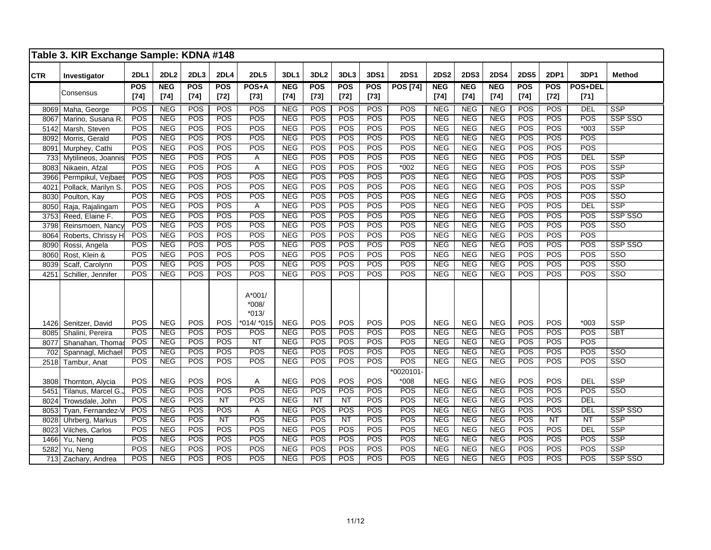|            | Table 3. KIR Exchange Sample: KDNA #148 |            |             |                  |                  |                              |            |                  |        |                  |                     |             |             |             |                  |                  |                  |                         |
|------------|-----------------------------------------|------------|-------------|------------------|------------------|------------------------------|------------|------------------|--------|------------------|---------------------|-------------|-------------|-------------|------------------|------------------|------------------|-------------------------|
| <b>CTR</b> | Investigator                            | 2DL1       | <b>2DL2</b> | 2DL3             | <b>2DL4</b>      | <b>2DL5</b>                  | 3DL1       | 3DL <sub>2</sub> | 3DL3   | 3DS1             | <b>2DS1</b>         | <b>2DS2</b> | <b>2DS3</b> | <b>2DS4</b> | <b>2DS5</b>      | <b>2DP1</b>      | 3DP1             | <b>Method</b>           |
|            |                                         | <b>POS</b> | <b>NEG</b>  | POS              | <b>POS</b>       | POS+A                        | <b>NEG</b> | POS              | POS    | <b>POS</b>       | <b>POS [74]</b>     | <b>NEG</b>  | <b>NEG</b>  | <b>NEG</b>  | <b>POS</b>       | <b>POS</b>       | POS+DEL          |                         |
|            | Consensus                               | $[74]$     | $[74]$      | $[74]$           | $[72]$           | $[73]$                       | $[74]$     | $[73]$           | $[72]$ | $[73]$           |                     | $[74]$      | $[74]$      | $[74]$      | $[74]$           | $[72]$           | $[71]$           |                         |
| 8069       | Maha, George                            | POS        | <b>NEG</b>  | POS              | POS              | POS                          | <b>NEG</b> | POS              | POS    | <b>POS</b>       | POS                 | <b>NEG</b>  | <b>NEG</b>  | <b>NEG</b>  | POS              | <b>POS</b>       | DEL              | <b>SSP</b>              |
| 8067       | Marino, Susana R.                       | POS        | <b>NEG</b>  | POS              | POS              | POS                          | <b>NEG</b> | POS              | POS    | POS              | POS                 | NEG         | <b>NEG</b>  | <b>NEG</b>  | POS              | POS              | POS              | SSP SSO                 |
| 5142       | Marsh, Steven                           | POS        | <b>NEG</b>  | POS              | POS              | POS                          | <b>NEG</b> | POS              | POS    | POS              | POS                 | <b>NEG</b>  | <b>NEG</b>  | <b>NEG</b>  | POS              | POS              | $*003$           | <b>SSP</b>              |
| 8092       | Morris, Gerald                          | POS        | <b>NEG</b>  | POS              | POS              | POS                          | <b>NEG</b> | POS              | POS    | POS              | POS                 | <b>NEG</b>  | <b>NEG</b>  | <b>NEG</b>  | POS              | POS              | <b>POS</b>       |                         |
| 8091       | Murphey, Cathi                          | POS        | <b>NEG</b>  | POS              | POS              | POS                          | NEG        | POS              | POS    | POS              | POS                 | <b>NEG</b>  | <b>NEG</b>  | NEG         | POS              | POS              | POS              |                         |
| 733        | Mytilineos, Joannis                     | POS        | <b>NEG</b>  | POS              | POS              | Α                            | <b>NEG</b> | POS              | POS    | POS              | POS                 | <b>NEG</b>  | <b>NEG</b>  | <b>NEG</b>  | POS              | POS              | <b>DEL</b>       | <b>SSP</b>              |
| 8083       | Nikaein, Afzal                          | POS        | <b>NEG</b>  | POS              | POS              | A                            | NEG        | POS              | POS    | POS              | $*002$              | <b>NEG</b>  | <b>NEG</b>  | <b>NEG</b>  | POS              | POS              | <b>POS</b>       | <b>SSP</b>              |
| 3966       | Permpikul, Vejbaes                      | POS        | NEG         | POS              | POS              | POS                          | <b>NEG</b> | POS              | POS    | POS              | POS                 | <b>NEG</b>  | <b>NEG</b>  | <b>NEG</b>  | POS              | POS              | POS              | <b>SSP</b>              |
| 4021       | Pollack, Marilyn S.                     | POS        | <b>NEG</b>  | POS              | POS              | POS                          | <b>NEG</b> | POS              | POS    | POS              | POS                 | <b>NEG</b>  | NEG         | <b>NEG</b>  | POS              | POS              | <b>POS</b>       | <b>SSP</b>              |
| 8030       | Poulton, Kay                            | POS        | NEG         | POS              | POS              | POS                          | NEG        | POS              | POS    | POS              | POS                 | <b>NEG</b>  | NEG         | NEG         | $\overline{POS}$ | $\overline{POS}$ | POS              | $\overline{\text{SSO}}$ |
| 8050       | Raja, Rajalingam                        | POS        | <b>NEG</b>  | POS              | POS              | A                            | <b>NEG</b> | POS              | POS    | POS              | POS                 | <b>NEG</b>  | <b>NEG</b>  | <b>NEG</b>  | POS              | POS              | <b>DEL</b>       | SSP                     |
| 3753       | Reed, Elaine F.                         | POS        | <b>NEG</b>  | POS              | POS              | POS                          | NEG        | POS              | POS    | POS              | POS                 | <b>NEG</b>  | <b>NEG</b>  | <b>NEG</b>  | POS              | POS              | <b>POS</b>       | SSP SSO                 |
| 3798       | Reinsmoen, Nancy                        | POS        | <b>NEG</b>  | POS              | POS              | POS                          | <b>NEG</b> | POS              | POS    | POS              | POS                 | <b>NEG</b>  | <b>NEG</b>  | <b>NEG</b>  | POS              | POS              | POS              | SSO                     |
| 8064       | Roberts, Chrissy H                      | POS        | <b>NEG</b>  | POS              | POS              | POS                          | <b>NEG</b> | POS              | POS    | POS              | POS                 | <b>NEG</b>  | <b>NEG</b>  | <b>NEG</b>  | POS              | POS              | <b>POS</b>       |                         |
| 8090       | Rossi, Angela                           | POS        | <b>NEG</b>  | POS              | POS              | POS                          | NEG        | POS              | POS    | POS              | POS                 | <b>NEG</b>  | <b>NEG</b>  | <b>NEG</b>  | POS              | POS              | POS              | SSP SSO                 |
| 8060       | Rost, Klein &                           | POS        | <b>NEG</b>  | POS              | POS              | POS                          | <b>NEG</b> | POS              | POS    | POS              | POS                 | <b>NEG</b>  | <b>NEG</b>  | <b>NEG</b>  | POS              | POS              | <b>POS</b>       | $\overline{\text{SSO}}$ |
| 8039       | Scalf, Carolynn                         | POS        | <b>NEG</b>  | POS              | <b>POS</b>       | POS                          | NEG        | POS              | POS    | POS              | POS                 | <b>NEG</b>  | <b>NEG</b>  | <b>NEG</b>  | POS              | POS              | <b>POS</b>       | SSO                     |
| 4251       | Schiller, Jennifer                      | POS        | <b>NEG</b>  | POS              | POS              | POS                          | <b>NEG</b> | POS              | POS    | <b>POS</b>       | POS                 | <b>NEG</b>  | <b>NEG</b>  | <b>NEG</b>  | POS              | POS              | <b>POS</b>       | SSO                     |
|            |                                         |            |             |                  |                  | A*001/<br>$*008/$<br>$*013/$ |            |                  |        |                  |                     |             |             |             |                  |                  |                  |                         |
|            | 1426 Senitzer, David                    | POS        | <b>NEG</b>  | POS              | POS              | *014/ *015                   | <b>NEG</b> | POS              | POS    | POS              | POS                 | <b>NEG</b>  | <b>NEG</b>  | <b>NEG</b>  | POS              | POS              | $*003$           | <b>SSP</b>              |
| 8085       | Shalini, Pereira                        | POS        | <b>NEG</b>  | POS              | POS              | POS                          | <b>NEG</b> | POS              | POS    | POS              | POS                 | <b>NEG</b>  | <b>NEG</b>  | <b>NEG</b>  | POS              | POS              | POS              | <b>SBT</b>              |
| 8077       | Shanahan, Thoma                         | POS        | <b>NEG</b>  | POS              | POS              | NT                           | <b>NEG</b> | POS              | POS    | <b>POS</b>       | POS                 | <b>NEG</b>  | <b>NEG</b>  | NEG         | POS              | POS              | POS              |                         |
| 702        | Spannagl, Michael                       | POS        | <b>NEG</b>  | POS              | POS              | <b>POS</b>                   | <b>NEG</b> | POS              | POS    | POS              | POS                 | <b>NEG</b>  | <b>NEG</b>  | <b>NEG</b>  | POS              | POS              | POS              | $\overline{\text{SSO}}$ |
| 2518       | Tambur, Anat                            | POS        | <b>NEG</b>  | POS              | POS              | POS                          | <b>NEG</b> | POS              | POS    | POS              | POS                 | <b>NEG</b>  | <b>NEG</b>  | <b>NEG</b>  | POS              | POS              | POS              | SSO                     |
| 3808       |                                         | POS        | <b>NEG</b>  | POS              | <b>POS</b>       | Α                            | <b>NEG</b> | POS              | POS    | POS              | *0020101-<br>$*008$ | <b>NEG</b>  | <b>NEG</b>  | <b>NEG</b>  | POS              | POS              | <b>DEL</b>       | SSP                     |
|            | Thornton, Alycia<br>Tilanus, Marcel G.  | POS        | <b>NEG</b>  | POS              | POS              | POS                          | <b>NEG</b> | POS              | POS    | POS              | POS                 | <b>NEG</b>  | <b>NEG</b>  | <b>NEG</b>  | POS              | POS              | POS              | $\overline{\text{SSO}}$ |
| 5451       |                                         | POS        | <b>NEG</b>  | POS              |                  | POS                          | NEG        | NT               | NT     | POS              | POS                 | <b>NEG</b>  | <b>NEG</b>  | <b>NEG</b>  | POS              | POS              | <b>DEL</b>       |                         |
| 8024       | Trowsdale, John                         | POS        | <b>NEG</b>  | POS              | NT<br><b>POS</b> | $\overline{A}$               | <b>NEG</b> | POS              | POS    | POS              | POS                 | <b>NEG</b>  | <b>NEG</b>  | <b>NEG</b>  | POS              | POS              | <b>DEL</b>       | SSP SSO                 |
| 8053       | Tyan, Fernandez-                        |            |             |                  |                  |                              |            |                  |        |                  |                     |             |             |             | POS              |                  |                  |                         |
| 8028       | Uhrberg, Markus                         | POS        | <b>NEG</b>  | POS              | NT               | POS<br>POS                   | NEG        | POS              | NT     | POS<br>POS       | POS                 | <b>NEG</b>  | <b>NEG</b>  | NEG         |                  | NT<br>POS        | NT               | <b>SSP</b>              |
| 8023       | Vilches, Carlos                         | POS        | <b>NEG</b>  | POS              | POS              |                              | <b>NEG</b> | POS              | POS    |                  | POS                 | <b>NEG</b>  | <b>NEG</b>  | <b>NEG</b>  | POS              |                  | DEL              | <b>SSP</b>              |
| 1466       | Yu, Neng                                | POS        | <b>NEG</b>  | POS              | POS              | POS                          | <b>NEG</b> | POS              | POS    | POS              | POS                 | <b>NEG</b>  | <b>NEG</b>  | <b>NEG</b>  | POS              | POS              | POS              | <b>SSP</b>              |
| 5282       | Yu, Neng                                | POS        | NEG         | $\overline{POS}$ | $\overline{POS}$ | $\overline{POS}$             | NEG        | POS              | POS    | $\overline{POS}$ | POS                 | <b>NEG</b>  | NEG         | NEG         | $\overline{POS}$ | POS              | $\overline{POS}$ | $\overline{\text{SSP}}$ |
|            | 713 Zachary, Andrea                     | POS        | <b>NEG</b>  | $\overline{POS}$ | POS              | POS                          | <b>NEG</b> | <b>POS</b>       | POS    | <b>POS</b>       | POS                 | <b>NEG</b>  | <b>NEG</b>  | <b>NEG</b>  | POS              | POS              | POS              | SSP SSO                 |